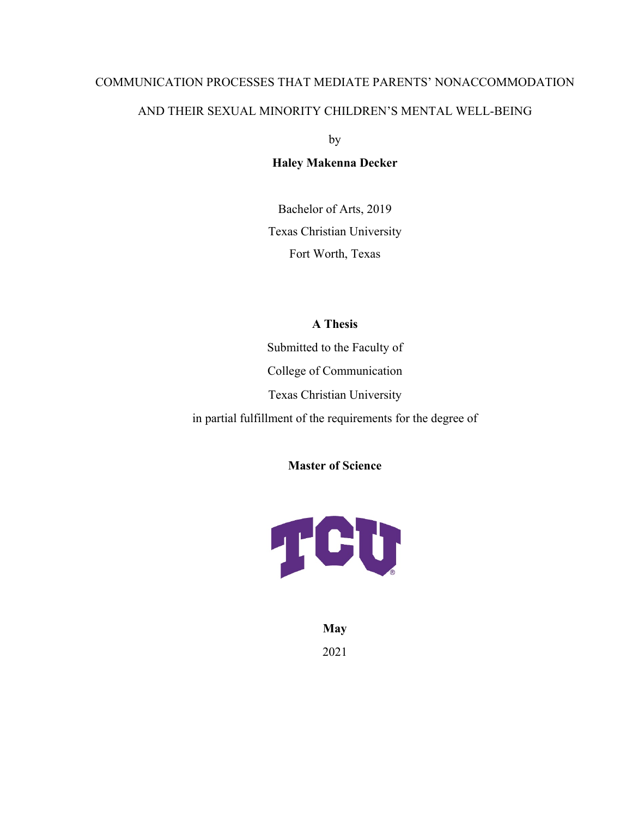# COMMUNICATION PROCESSES THAT MEDIATE PARENTS' NONACCOMMODATION AND THEIR SEXUAL MINORITY CHILDREN'S MENTAL WELL-BEING

by

### **Haley Makenna Decker**

Bachelor of Arts, 2019 Texas Christian University Fort Worth, Texas

### **A Thesis**

Submitted to the Faculty of College of Communication Texas Christian University in partial fulfillment of the requirements for the degree of

**Master of Science**



**May**  2021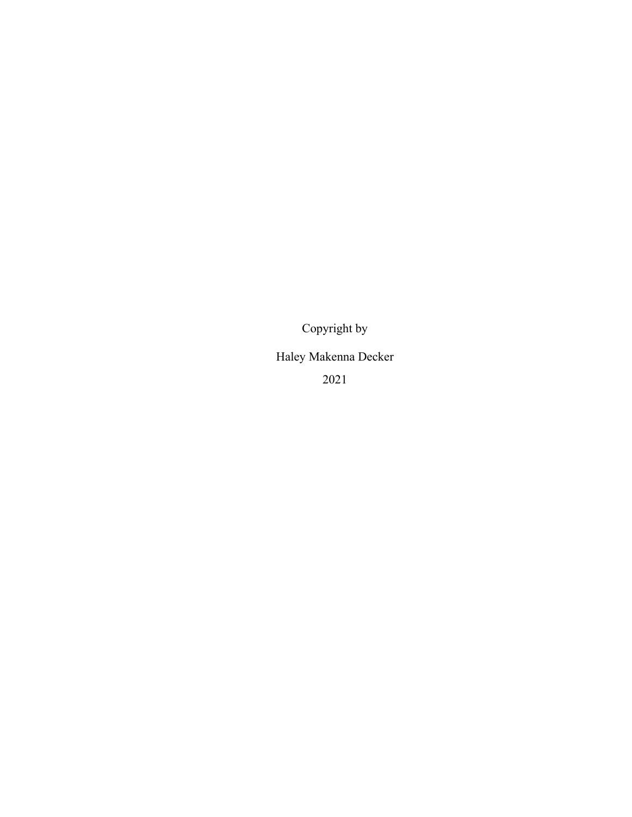Copyright by

Haley Makenna Decker

2021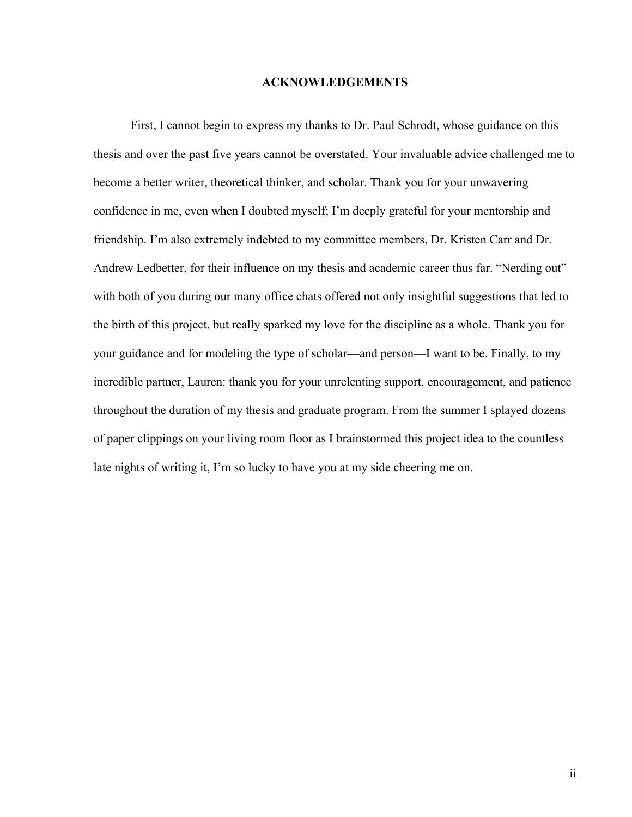#### **ACKNOWLEDGEMENTS**

First, I cannot begin to express my thanks to Dr. Paul Schrodt, whose guidance on this thesis and over the past five years cannot be overstated. Your invaluable advice challenged me to become a better writer, theoretical thinker, and scholar. Thank you for your unwavering confidence in me, even when I doubted myself; I'm deeply grateful for your mentorship and friendship. I'm also extremely indebted to my committee members, Dr. Kristen Carr and Dr. Andrew Ledbetter, for their influence on my thesis and academic career thus far. "Nerding out" with both of you during our many office chats offered not only insightful suggestions that led to the birth of this project, but really sparked my love for the discipline as a whole. Thank you for your guidance and for modeling the type of scholar—and person—I want to be. Finally, to my incredible partner, Lauren: thank you for your unrelenting support, encouragement, and patience throughout the duration of my thesis and graduate program. From the summer I splayed dozens of paper clippings on your living room floor as I brainstormed this project idea to the countless late nights of writing it, I'm so lucky to have you at my side cheering me on.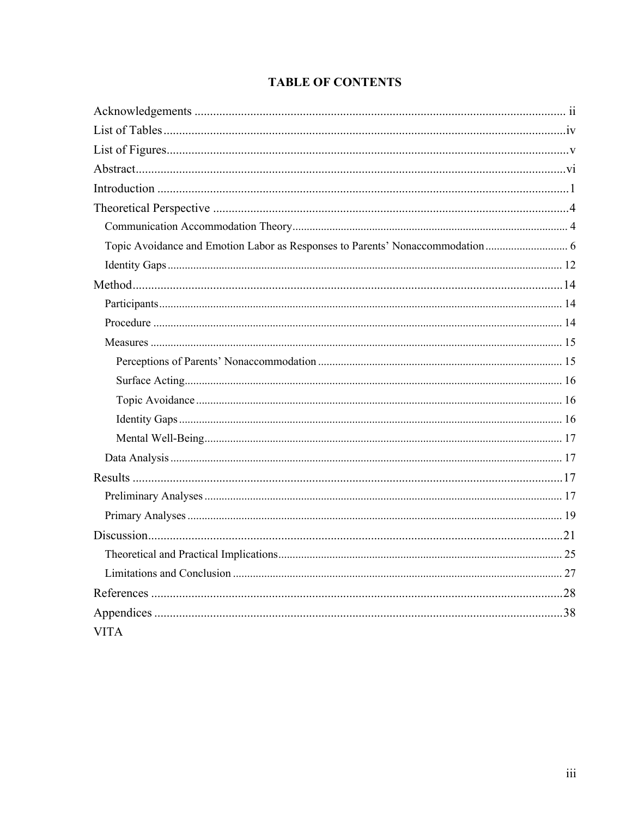### **TABLE OF CONTENTS**

| <b>VITA</b> |  |
|-------------|--|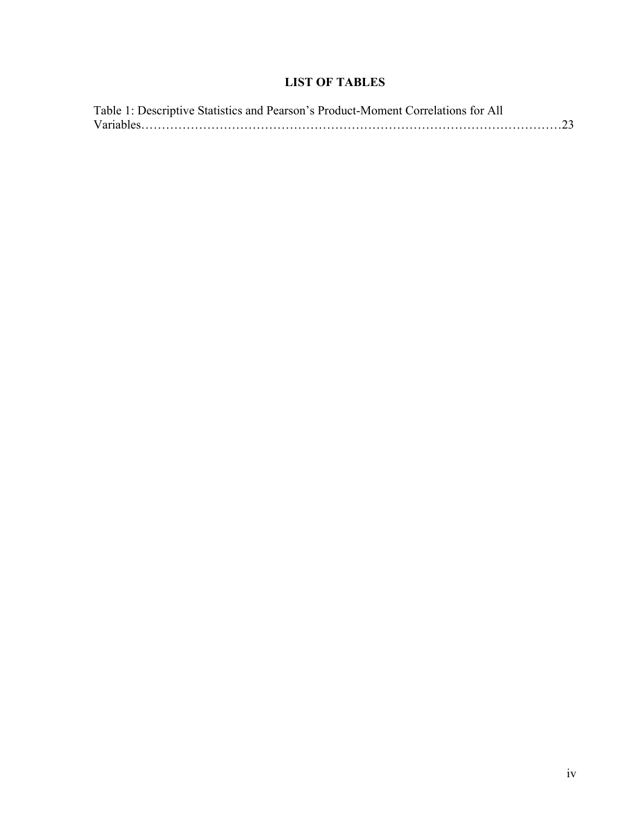### **LIST OF TABLES**

| Table 1: Descriptive Statistics and Pearson's Product-Moment Correlations for All |
|-----------------------------------------------------------------------------------|
|                                                                                   |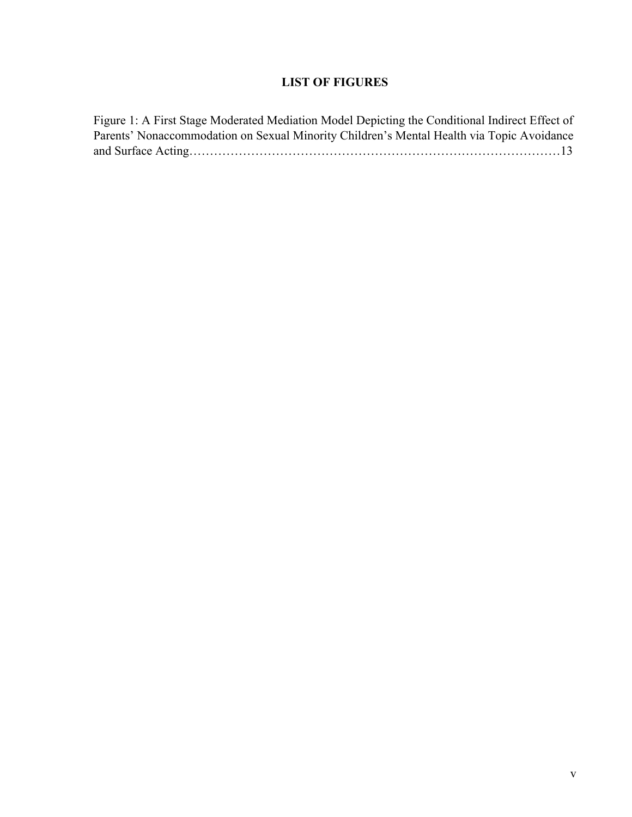### **LIST OF FIGURES**

Figure 1: A First Stage Moderated Mediation Model Depicting the Conditional Indirect Effect of Parents' Nonaccommodation on Sexual Minority Children's Mental Health via Topic Avoidance and Surface Acting………………………………………………………………………………13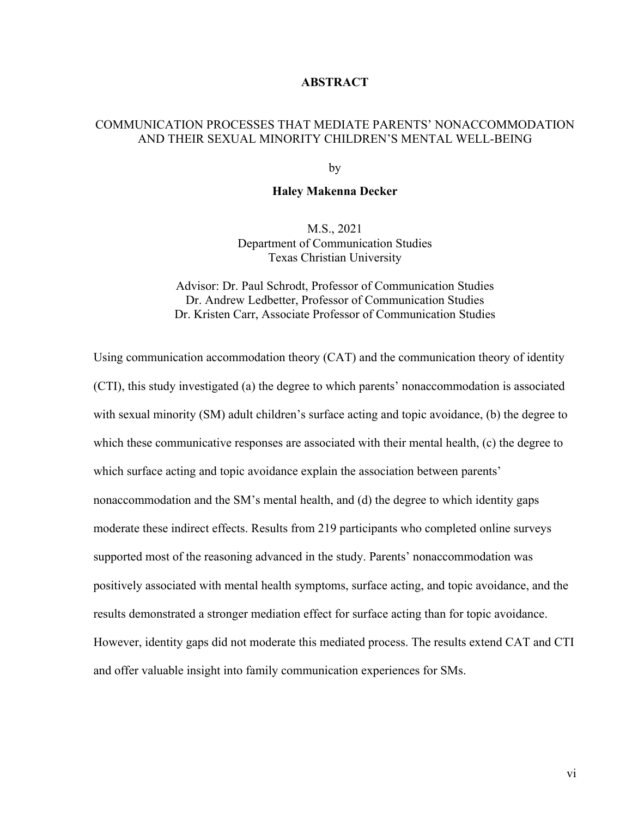#### **ABSTRACT**

### COMMUNICATION PROCESSES THAT MEDIATE PARENTS' NONACCOMMODATION AND THEIR SEXUAL MINORITY CHILDREN'S MENTAL WELL-BEING

by

#### **Haley Makenna Decker**

M.S., 2021 Department of Communication Studies Texas Christian University

Advisor: Dr. Paul Schrodt, Professor of Communication Studies Dr. Andrew Ledbetter, Professor of Communication Studies Dr. Kristen Carr, Associate Professor of Communication Studies

Using communication accommodation theory (CAT) and the communication theory of identity (CTI), this study investigated (a) the degree to which parents' nonaccommodation is associated with sexual minority (SM) adult children's surface acting and topic avoidance, (b) the degree to which these communicative responses are associated with their mental health, (c) the degree to which surface acting and topic avoidance explain the association between parents' nonaccommodation and the SM's mental health, and (d) the degree to which identity gaps moderate these indirect effects. Results from 219 participants who completed online surveys supported most of the reasoning advanced in the study. Parents' nonaccommodation was positively associated with mental health symptoms, surface acting, and topic avoidance, and the results demonstrated a stronger mediation effect for surface acting than for topic avoidance. However, identity gaps did not moderate this mediated process. The results extend CAT and CTI and offer valuable insight into family communication experiences for SMs.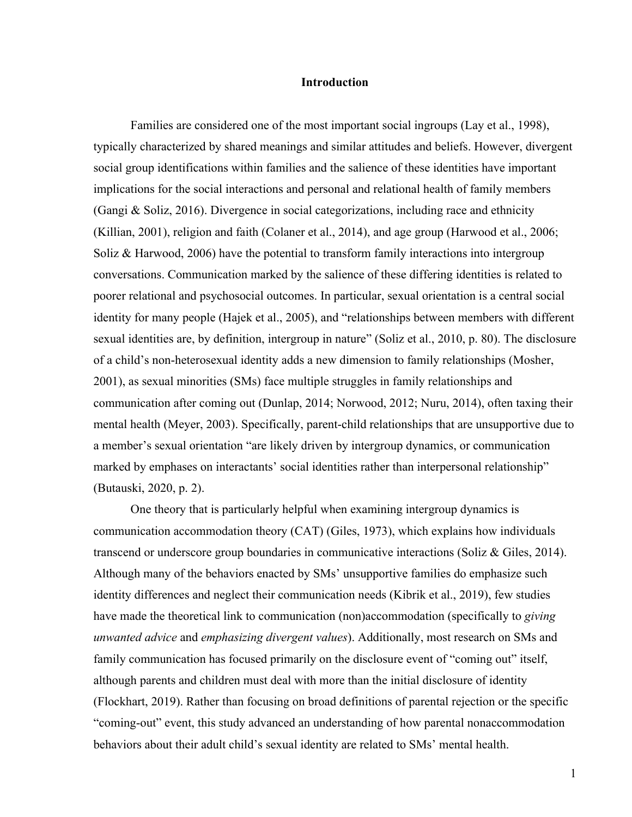#### **Introduction**

Families are considered one of the most important social ingroups (Lay et al., 1998), typically characterized by shared meanings and similar attitudes and beliefs. However, divergent social group identifications within families and the salience of these identities have important implications for the social interactions and personal and relational health of family members (Gangi & Soliz, 2016). Divergence in social categorizations, including race and ethnicity (Killian, 2001), religion and faith (Colaner et al., 2014), and age group (Harwood et al., 2006; Soliz & Harwood, 2006) have the potential to transform family interactions into intergroup conversations. Communication marked by the salience of these differing identities is related to poorer relational and psychosocial outcomes. In particular, sexual orientation is a central social identity for many people (Hajek et al., 2005), and "relationships between members with different sexual identities are, by definition, intergroup in nature" (Soliz et al., 2010, p. 80). The disclosure of a child's non-heterosexual identity adds a new dimension to family relationships (Mosher, 2001), as sexual minorities (SMs) face multiple struggles in family relationships and communication after coming out (Dunlap, 2014; Norwood, 2012; Nuru, 2014), often taxing their mental health (Meyer, 2003). Specifically, parent-child relationships that are unsupportive due to a member's sexual orientation "are likely driven by intergroup dynamics, or communication marked by emphases on interactants' social identities rather than interpersonal relationship" (Butauski, 2020, p. 2).

One theory that is particularly helpful when examining intergroup dynamics is communication accommodation theory (CAT) (Giles, 1973), which explains how individuals transcend or underscore group boundaries in communicative interactions (Soliz & Giles, 2014). Although many of the behaviors enacted by SMs' unsupportive families do emphasize such identity differences and neglect their communication needs (Kibrik et al., 2019), few studies have made the theoretical link to communication (non)accommodation (specifically to *giving unwanted advice* and *emphasizing divergent values*). Additionally, most research on SMs and family communication has focused primarily on the disclosure event of "coming out" itself, although parents and children must deal with more than the initial disclosure of identity (Flockhart, 2019). Rather than focusing on broad definitions of parental rejection or the specific "coming-out" event, this study advanced an understanding of how parental nonaccommodation behaviors about their adult child's sexual identity are related to SMs' mental health.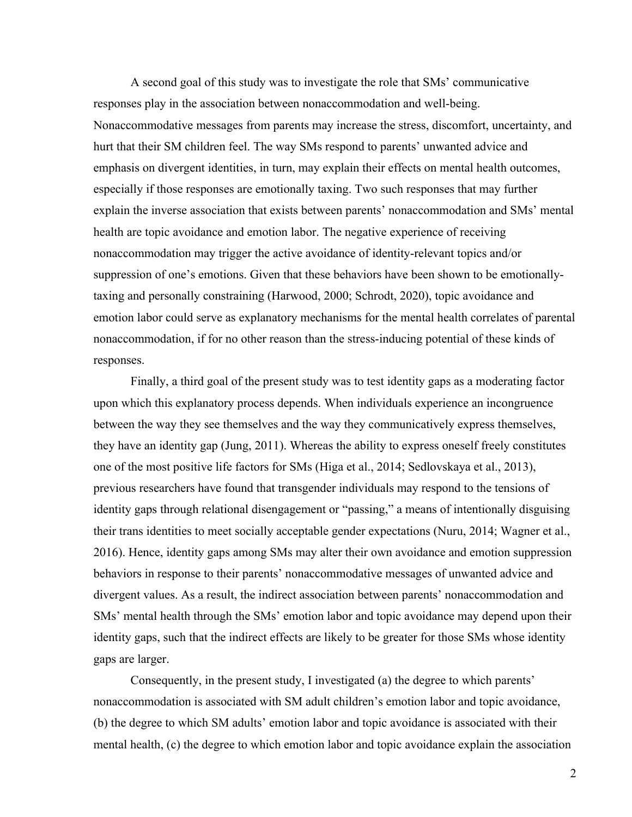A second goal of this study was to investigate the role that SMs' communicative responses play in the association between nonaccommodation and well-being. Nonaccommodative messages from parents may increase the stress, discomfort, uncertainty, and hurt that their SM children feel. The way SMs respond to parents' unwanted advice and emphasis on divergent identities, in turn, may explain their effects on mental health outcomes, especially if those responses are emotionally taxing. Two such responses that may further explain the inverse association that exists between parents' nonaccommodation and SMs' mental health are topic avoidance and emotion labor. The negative experience of receiving nonaccommodation may trigger the active avoidance of identity-relevant topics and/or suppression of one's emotions. Given that these behaviors have been shown to be emotionallytaxing and personally constraining (Harwood, 2000; Schrodt, 2020), topic avoidance and emotion labor could serve as explanatory mechanisms for the mental health correlates of parental nonaccommodation, if for no other reason than the stress-inducing potential of these kinds of responses.

Finally, a third goal of the present study was to test identity gaps as a moderating factor upon which this explanatory process depends. When individuals experience an incongruence between the way they see themselves and the way they communicatively express themselves, they have an identity gap (Jung, 2011). Whereas the ability to express oneself freely constitutes one of the most positive life factors for SMs (Higa et al., 2014; Sedlovskaya et al., 2013), previous researchers have found that transgender individuals may respond to the tensions of identity gaps through relational disengagement or "passing," a means of intentionally disguising their trans identities to meet socially acceptable gender expectations (Nuru, 2014; Wagner et al., 2016). Hence, identity gaps among SMs may alter their own avoidance and emotion suppression behaviors in response to their parents' nonaccommodative messages of unwanted advice and divergent values. As a result, the indirect association between parents' nonaccommodation and SMs' mental health through the SMs' emotion labor and topic avoidance may depend upon their identity gaps, such that the indirect effects are likely to be greater for those SMs whose identity gaps are larger.

Consequently, in the present study, I investigated (a) the degree to which parents' nonaccommodation is associated with SM adult children's emotion labor and topic avoidance, (b) the degree to which SM adults' emotion labor and topic avoidance is associated with their mental health, (c) the degree to which emotion labor and topic avoidance explain the association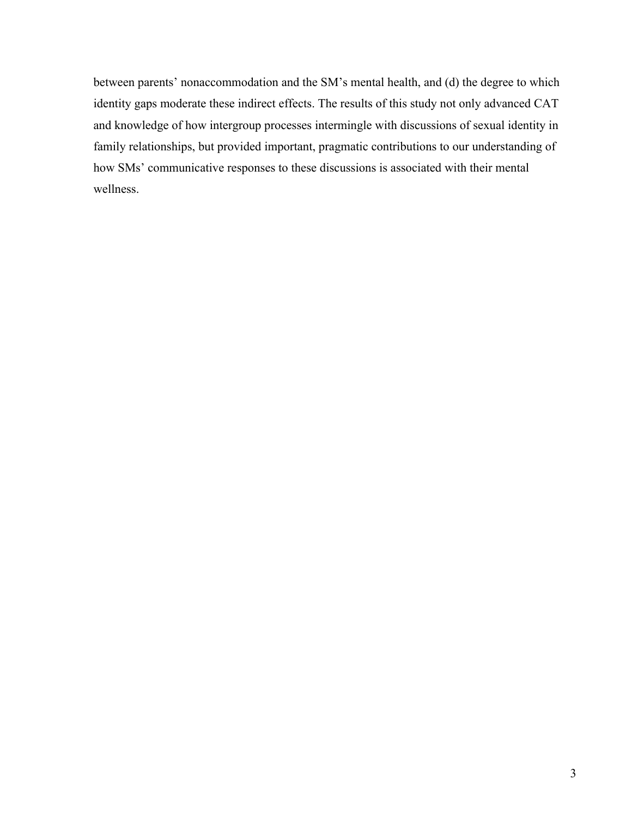between parents' nonaccommodation and the SM's mental health, and (d) the degree to which identity gaps moderate these indirect effects. The results of this study not only advanced CAT and knowledge of how intergroup processes intermingle with discussions of sexual identity in family relationships, but provided important, pragmatic contributions to our understanding of how SMs' communicative responses to these discussions is associated with their mental wellness.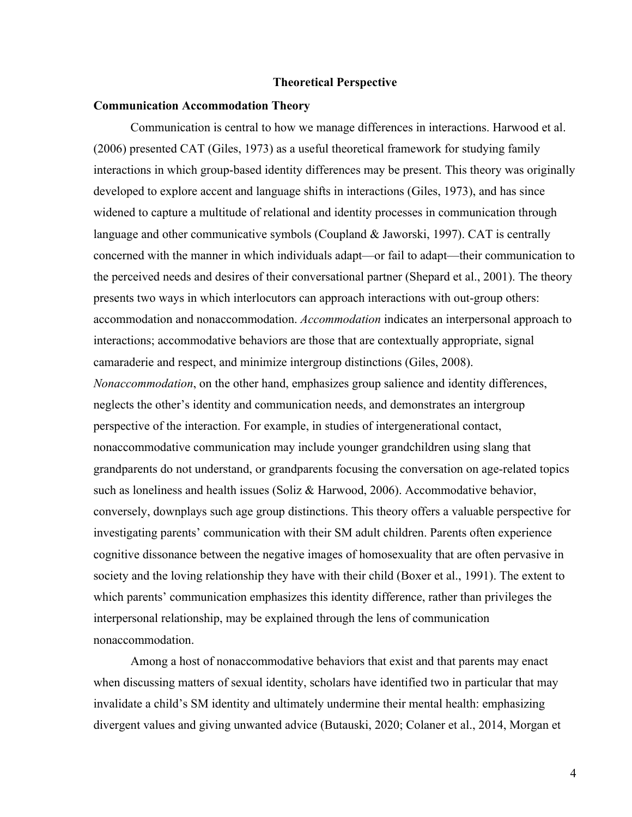#### **Theoretical Perspective**

#### **Communication Accommodation Theory**

Communication is central to how we manage differences in interactions. Harwood et al. (2006) presented CAT (Giles, 1973) as a useful theoretical framework for studying family interactions in which group-based identity differences may be present. This theory was originally developed to explore accent and language shifts in interactions (Giles, 1973), and has since widened to capture a multitude of relational and identity processes in communication through language and other communicative symbols (Coupland & Jaworski, 1997). CAT is centrally concerned with the manner in which individuals adapt—or fail to adapt—their communication to the perceived needs and desires of their conversational partner (Shepard et al., 2001). The theory presents two ways in which interlocutors can approach interactions with out-group others: accommodation and nonaccommodation. *Accommodation* indicates an interpersonal approach to interactions; accommodative behaviors are those that are contextually appropriate, signal camaraderie and respect, and minimize intergroup distinctions (Giles, 2008).

*Nonaccommodation*, on the other hand, emphasizes group salience and identity differences, neglects the other's identity and communication needs, and demonstrates an intergroup perspective of the interaction. For example, in studies of intergenerational contact, nonaccommodative communication may include younger grandchildren using slang that grandparents do not understand, or grandparents focusing the conversation on age-related topics such as loneliness and health issues (Soliz & Harwood, 2006). Accommodative behavior, conversely, downplays such age group distinctions. This theory offers a valuable perspective for investigating parents' communication with their SM adult children. Parents often experience cognitive dissonance between the negative images of homosexuality that are often pervasive in society and the loving relationship they have with their child (Boxer et al., 1991). The extent to which parents' communication emphasizes this identity difference, rather than privileges the interpersonal relationship, may be explained through the lens of communication nonaccommodation.

Among a host of nonaccommodative behaviors that exist and that parents may enact when discussing matters of sexual identity, scholars have identified two in particular that may invalidate a child's SM identity and ultimately undermine their mental health: emphasizing divergent values and giving unwanted advice (Butauski, 2020; Colaner et al., 2014, Morgan et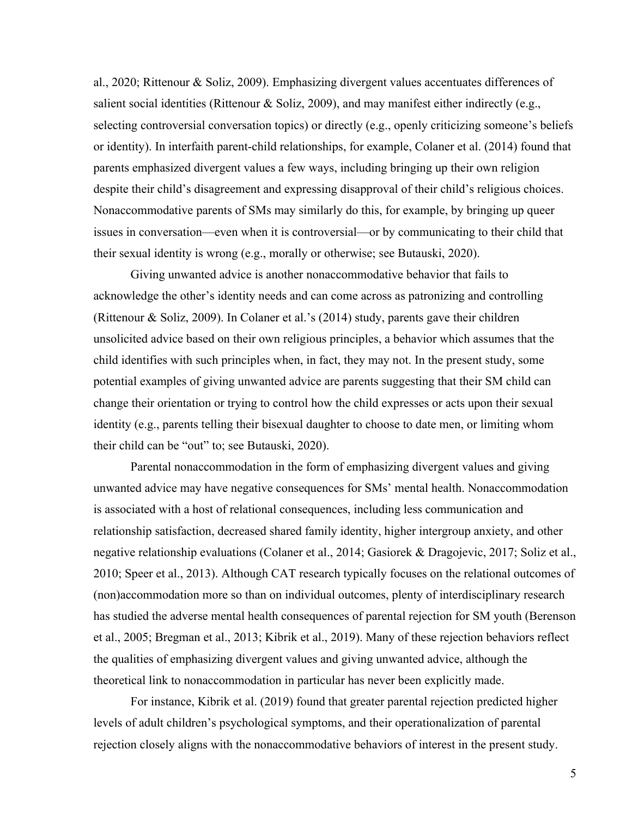al., 2020; Rittenour & Soliz, 2009). Emphasizing divergent values accentuates differences of salient social identities (Rittenour & Soliz, 2009), and may manifest either indirectly (e.g., selecting controversial conversation topics) or directly (e.g., openly criticizing someone's beliefs or identity). In interfaith parent-child relationships, for example, Colaner et al. (2014) found that parents emphasized divergent values a few ways, including bringing up their own religion despite their child's disagreement and expressing disapproval of their child's religious choices. Nonaccommodative parents of SMs may similarly do this, for example, by bringing up queer issues in conversation—even when it is controversial—or by communicating to their child that their sexual identity is wrong (e.g., morally or otherwise; see Butauski, 2020).

Giving unwanted advice is another nonaccommodative behavior that fails to acknowledge the other's identity needs and can come across as patronizing and controlling (Rittenour & Soliz, 2009). In Colaner et al.'s (2014) study, parents gave their children unsolicited advice based on their own religious principles, a behavior which assumes that the child identifies with such principles when, in fact, they may not. In the present study, some potential examples of giving unwanted advice are parents suggesting that their SM child can change their orientation or trying to control how the child expresses or acts upon their sexual identity (e.g., parents telling their bisexual daughter to choose to date men, or limiting whom their child can be "out" to; see Butauski, 2020).

Parental nonaccommodation in the form of emphasizing divergent values and giving unwanted advice may have negative consequences for SMs' mental health. Nonaccommodation is associated with a host of relational consequences, including less communication and relationship satisfaction, decreased shared family identity, higher intergroup anxiety, and other negative relationship evaluations (Colaner et al., 2014; Gasiorek & Dragojevic, 2017; Soliz et al., 2010; Speer et al., 2013). Although CAT research typically focuses on the relational outcomes of (non)accommodation more so than on individual outcomes, plenty of interdisciplinary research has studied the adverse mental health consequences of parental rejection for SM youth (Berenson et al., 2005; Bregman et al., 2013; Kibrik et al., 2019). Many of these rejection behaviors reflect the qualities of emphasizing divergent values and giving unwanted advice, although the theoretical link to nonaccommodation in particular has never been explicitly made.

For instance, Kibrik et al. (2019) found that greater parental rejection predicted higher levels of adult children's psychological symptoms, and their operationalization of parental rejection closely aligns with the nonaccommodative behaviors of interest in the present study.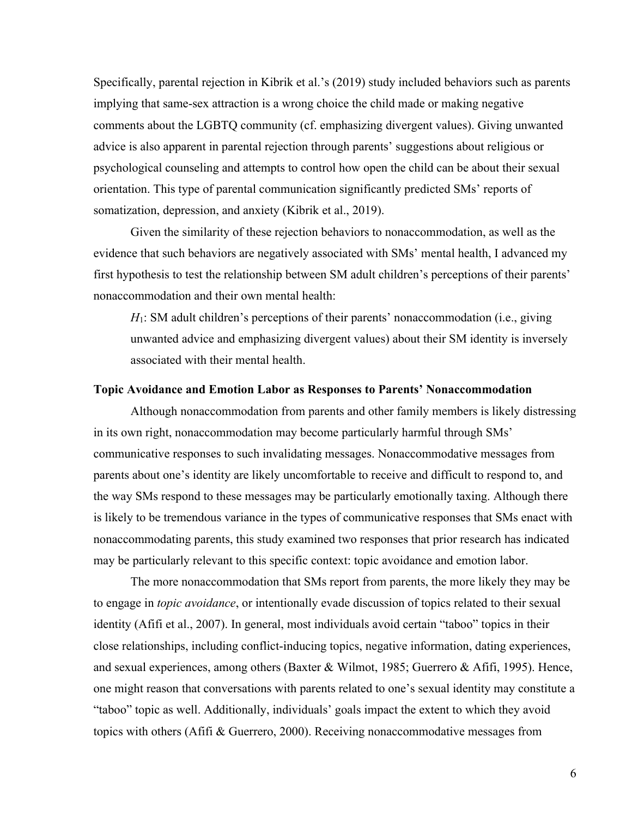Specifically, parental rejection in Kibrik et al.'s (2019) study included behaviors such as parents implying that same-sex attraction is a wrong choice the child made or making negative comments about the LGBTQ community (cf. emphasizing divergent values). Giving unwanted advice is also apparent in parental rejection through parents' suggestions about religious or psychological counseling and attempts to control how open the child can be about their sexual orientation. This type of parental communication significantly predicted SMs' reports of somatization, depression, and anxiety (Kibrik et al., 2019).

Given the similarity of these rejection behaviors to nonaccommodation, as well as the evidence that such behaviors are negatively associated with SMs' mental health, I advanced my first hypothesis to test the relationship between SM adult children's perceptions of their parents' nonaccommodation and their own mental health:

*H*<sub>1</sub>: SM adult children's perceptions of their parents' nonaccommodation (i.e., giving unwanted advice and emphasizing divergent values) about their SM identity is inversely associated with their mental health.

#### **Topic Avoidance and Emotion Labor as Responses to Parents' Nonaccommodation**

Although nonaccommodation from parents and other family members is likely distressing in its own right, nonaccommodation may become particularly harmful through SMs' communicative responses to such invalidating messages. Nonaccommodative messages from parents about one's identity are likely uncomfortable to receive and difficult to respond to, and the way SMs respond to these messages may be particularly emotionally taxing. Although there is likely to be tremendous variance in the types of communicative responses that SMs enact with nonaccommodating parents, this study examined two responses that prior research has indicated may be particularly relevant to this specific context: topic avoidance and emotion labor.

The more nonaccommodation that SMs report from parents, the more likely they may be to engage in *topic avoidance*, or intentionally evade discussion of topics related to their sexual identity (Afifi et al., 2007). In general, most individuals avoid certain "taboo" topics in their close relationships, including conflict-inducing topics, negative information, dating experiences, and sexual experiences, among others (Baxter & Wilmot, 1985; Guerrero & Afifi, 1995). Hence, one might reason that conversations with parents related to one's sexual identity may constitute a "taboo" topic as well. Additionally, individuals' goals impact the extent to which they avoid topics with others (Afifi & Guerrero, 2000). Receiving nonaccommodative messages from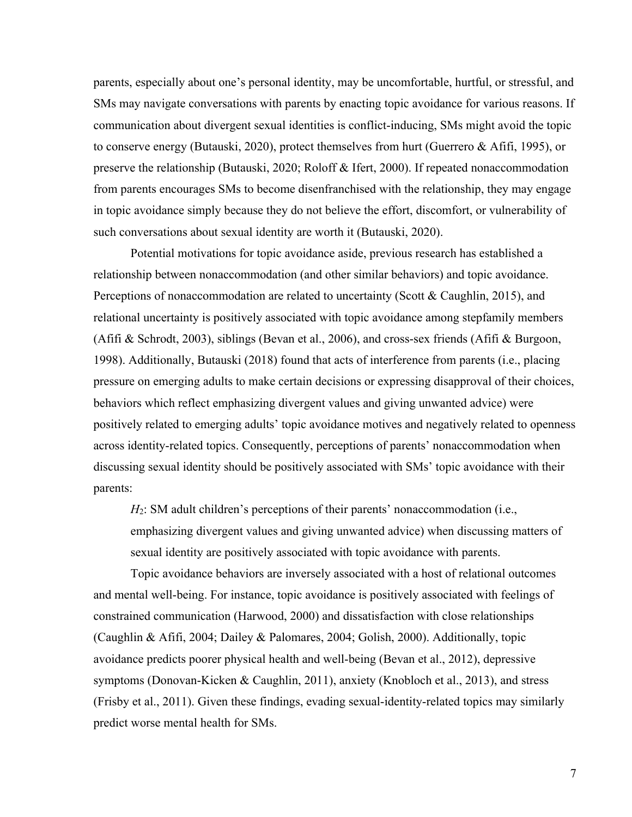parents, especially about one's personal identity, may be uncomfortable, hurtful, or stressful, and SMs may navigate conversations with parents by enacting topic avoidance for various reasons. If communication about divergent sexual identities is conflict-inducing, SMs might avoid the topic to conserve energy (Butauski, 2020), protect themselves from hurt (Guerrero & Afifi, 1995), or preserve the relationship (Butauski, 2020; Roloff & Ifert, 2000). If repeated nonaccommodation from parents encourages SMs to become disenfranchised with the relationship, they may engage in topic avoidance simply because they do not believe the effort, discomfort, or vulnerability of such conversations about sexual identity are worth it (Butauski, 2020).

Potential motivations for topic avoidance aside, previous research has established a relationship between nonaccommodation (and other similar behaviors) and topic avoidance. Perceptions of nonaccommodation are related to uncertainty (Scott & Caughlin, 2015), and relational uncertainty is positively associated with topic avoidance among stepfamily members (Afifi & Schrodt, 2003), siblings (Bevan et al., 2006), and cross-sex friends (Afifi & Burgoon, 1998). Additionally, Butauski (2018) found that acts of interference from parents (i.e., placing pressure on emerging adults to make certain decisions or expressing disapproval of their choices, behaviors which reflect emphasizing divergent values and giving unwanted advice) were positively related to emerging adults' topic avoidance motives and negatively related to openness across identity-related topics. Consequently, perceptions of parents' nonaccommodation when discussing sexual identity should be positively associated with SMs' topic avoidance with their parents:

*H*<sub>2</sub>: SM adult children's perceptions of their parents' nonaccommodation (i.e., emphasizing divergent values and giving unwanted advice) when discussing matters of sexual identity are positively associated with topic avoidance with parents.

Topic avoidance behaviors are inversely associated with a host of relational outcomes and mental well-being. For instance, topic avoidance is positively associated with feelings of constrained communication (Harwood, 2000) and dissatisfaction with close relationships (Caughlin & Afifi, 2004; Dailey & Palomares, 2004; Golish, 2000). Additionally, topic avoidance predicts poorer physical health and well-being (Bevan et al., 2012), depressive symptoms (Donovan-Kicken & Caughlin, 2011), anxiety (Knobloch et al., 2013), and stress (Frisby et al., 2011). Given these findings, evading sexual-identity-related topics may similarly predict worse mental health for SMs.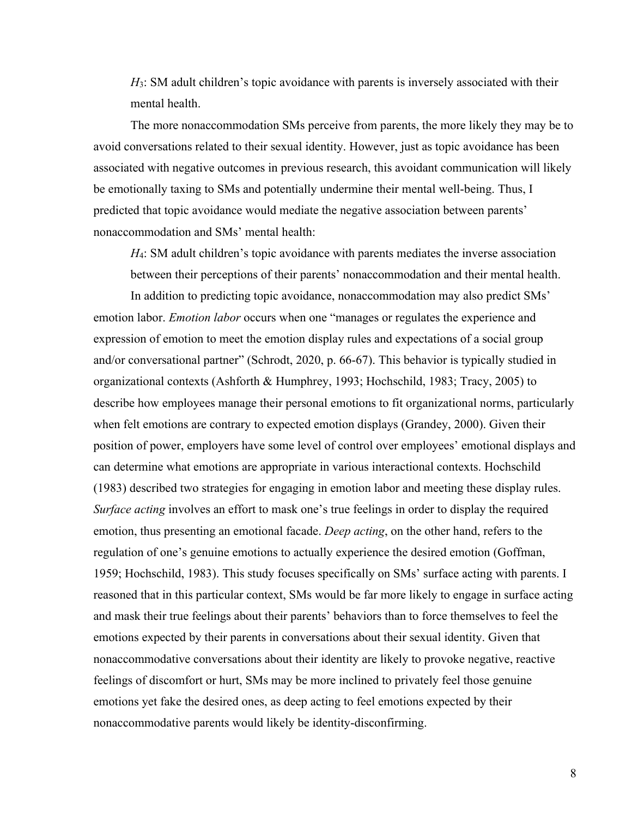*H*<sub>3</sub>: SM adult children's topic avoidance with parents is inversely associated with their mental health.

The more nonaccommodation SMs perceive from parents, the more likely they may be to avoid conversations related to their sexual identity. However, just as topic avoidance has been associated with negative outcomes in previous research, this avoidant communication will likely be emotionally taxing to SMs and potentially undermine their mental well-being. Thus, I predicted that topic avoidance would mediate the negative association between parents' nonaccommodation and SMs' mental health:

*H*<sub>4</sub>: SM adult children's topic avoidance with parents mediates the inverse association between their perceptions of their parents' nonaccommodation and their mental health.

In addition to predicting topic avoidance, nonaccommodation may also predict SMs' emotion labor. *Emotion labor* occurs when one "manages or regulates the experience and expression of emotion to meet the emotion display rules and expectations of a social group and/or conversational partner" (Schrodt, 2020, p. 66-67). This behavior is typically studied in organizational contexts (Ashforth & Humphrey, 1993; Hochschild, 1983; Tracy, 2005) to describe how employees manage their personal emotions to fit organizational norms, particularly when felt emotions are contrary to expected emotion displays (Grandey, 2000). Given their position of power, employers have some level of control over employees' emotional displays and can determine what emotions are appropriate in various interactional contexts. Hochschild (1983) described two strategies for engaging in emotion labor and meeting these display rules. *Surface acting* involves an effort to mask one's true feelings in order to display the required emotion, thus presenting an emotional facade. *Deep acting*, on the other hand, refers to the regulation of one's genuine emotions to actually experience the desired emotion (Goffman, 1959; Hochschild, 1983). This study focuses specifically on SMs' surface acting with parents. I reasoned that in this particular context, SMs would be far more likely to engage in surface acting and mask their true feelings about their parents' behaviors than to force themselves to feel the emotions expected by their parents in conversations about their sexual identity. Given that nonaccommodative conversations about their identity are likely to provoke negative, reactive feelings of discomfort or hurt, SMs may be more inclined to privately feel those genuine emotions yet fake the desired ones, as deep acting to feel emotions expected by their nonaccommodative parents would likely be identity-disconfirming.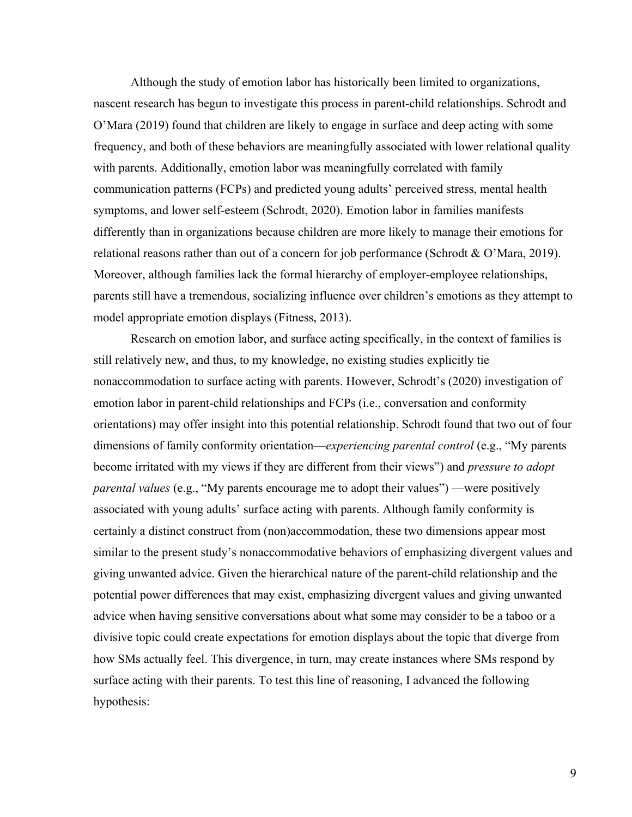Although the study of emotion labor has historically been limited to organizations, nascent research has begun to investigate this process in parent-child relationships. Schrodt and O'Mara (2019) found that children are likely to engage in surface and deep acting with some frequency, and both of these behaviors are meaningfully associated with lower relational quality with parents. Additionally, emotion labor was meaningfully correlated with family communication patterns (FCPs) and predicted young adults' perceived stress, mental health symptoms, and lower self-esteem (Schrodt, 2020). Emotion labor in families manifests differently than in organizations because children are more likely to manage their emotions for relational reasons rather than out of a concern for job performance (Schrodt & O'Mara, 2019). Moreover, although families lack the formal hierarchy of employer-employee relationships, parents still have a tremendous, socializing influence over children's emotions as they attempt to model appropriate emotion displays (Fitness, 2013).

Research on emotion labor, and surface acting specifically, in the context of families is still relatively new, and thus, to my knowledge, no existing studies explicitly tie nonaccommodation to surface acting with parents. However, Schrodt's (2020) investigation of emotion labor in parent-child relationships and FCPs (i.e., conversation and conformity orientations) may offer insight into this potential relationship. Schrodt found that two out of four dimensions of family conformity orientation—*experiencing parental control* (e.g., "My parents become irritated with my views if they are different from their views") and *pressure to adopt parental values* (e.g., "My parents encourage me to adopt their values") —were positively associated with young adults' surface acting with parents. Although family conformity is certainly a distinct construct from (non)accommodation, these two dimensions appear most similar to the present study's nonaccommodative behaviors of emphasizing divergent values and giving unwanted advice. Given the hierarchical nature of the parent-child relationship and the potential power differences that may exist, emphasizing divergent values and giving unwanted advice when having sensitive conversations about what some may consider to be a taboo or a divisive topic could create expectations for emotion displays about the topic that diverge from how SMs actually feel. This divergence, in turn, may create instances where SMs respond by surface acting with their parents. To test this line of reasoning, I advanced the following hypothesis: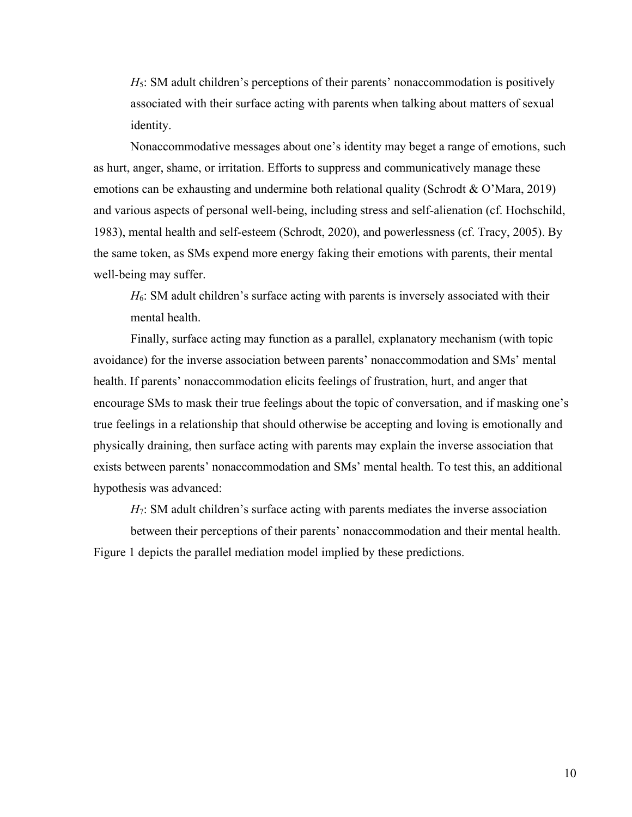*H*5: SM adult children's perceptions of their parents' nonaccommodation is positively associated with their surface acting with parents when talking about matters of sexual identity.

Nonaccommodative messages about one's identity may beget a range of emotions, such as hurt, anger, shame, or irritation. Efforts to suppress and communicatively manage these emotions can be exhausting and undermine both relational quality (Schrodt & O'Mara, 2019) and various aspects of personal well-being, including stress and self-alienation (cf. Hochschild, 1983), mental health and self-esteem (Schrodt, 2020), and powerlessness (cf. Tracy, 2005). By the same token, as SMs expend more energy faking their emotions with parents, their mental well-being may suffer.

*H*6: SM adult children's surface acting with parents is inversely associated with their mental health.

Finally, surface acting may function as a parallel, explanatory mechanism (with topic avoidance) for the inverse association between parents' nonaccommodation and SMs' mental health. If parents' nonaccommodation elicits feelings of frustration, hurt, and anger that encourage SMs to mask their true feelings about the topic of conversation, and if masking one's true feelings in a relationship that should otherwise be accepting and loving is emotionally and physically draining, then surface acting with parents may explain the inverse association that exists between parents' nonaccommodation and SMs' mental health. To test this, an additional hypothesis was advanced:

*H*<sub>7</sub>: SM adult children's surface acting with parents mediates the inverse association

between their perceptions of their parents' nonaccommodation and their mental health. Figure 1 depicts the parallel mediation model implied by these predictions.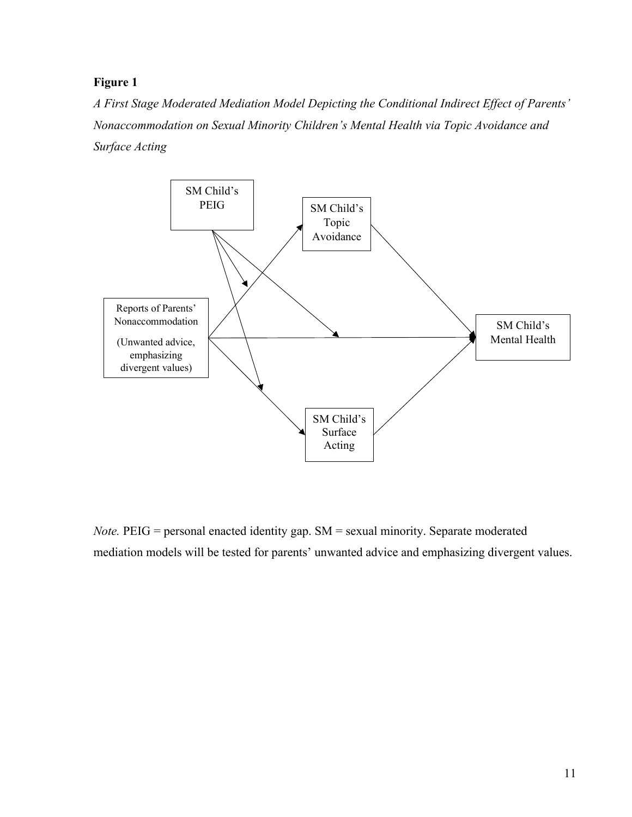### **Figure 1**

*A First Stage Moderated Mediation Model Depicting the Conditional Indirect Effect of Parents' Nonaccommodation on Sexual Minority Children's Mental Health via Topic Avoidance and Surface Acting*



*Note.* PEIG = personal enacted identity gap. SM = sexual minority. Separate moderated mediation models will be tested for parents' unwanted advice and emphasizing divergent values.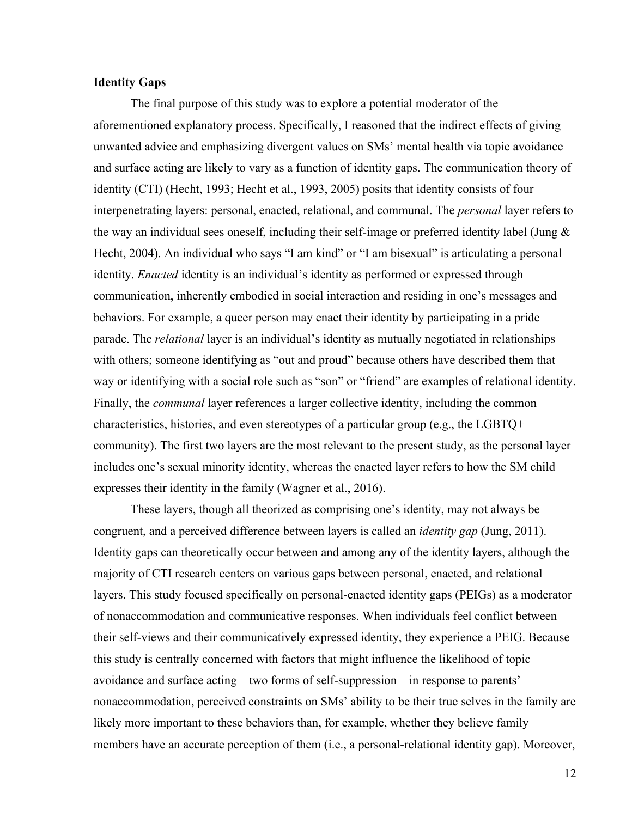#### **Identity Gaps**

The final purpose of this study was to explore a potential moderator of the aforementioned explanatory process. Specifically, I reasoned that the indirect effects of giving unwanted advice and emphasizing divergent values on SMs' mental health via topic avoidance and surface acting are likely to vary as a function of identity gaps. The communication theory of identity (CTI) (Hecht, 1993; Hecht et al., 1993, 2005) posits that identity consists of four interpenetrating layers: personal, enacted, relational, and communal. The *personal* layer refers to the way an individual sees oneself, including their self-image or preferred identity label (Jung & Hecht, 2004). An individual who says "I am kind" or "I am bisexual" is articulating a personal identity. *Enacted* identity is an individual's identity as performed or expressed through communication, inherently embodied in social interaction and residing in one's messages and behaviors. For example, a queer person may enact their identity by participating in a pride parade. The *relational* layer is an individual's identity as mutually negotiated in relationships with others; someone identifying as "out and proud" because others have described them that way or identifying with a social role such as "son" or "friend" are examples of relational identity. Finally, the *communal* layer references a larger collective identity, including the common characteristics, histories, and even stereotypes of a particular group (e.g., the LGBTQ+ community). The first two layers are the most relevant to the present study, as the personal layer includes one's sexual minority identity, whereas the enacted layer refers to how the SM child expresses their identity in the family (Wagner et al., 2016).

These layers, though all theorized as comprising one's identity, may not always be congruent, and a perceived difference between layers is called an *identity gap* (Jung, 2011). Identity gaps can theoretically occur between and among any of the identity layers, although the majority of CTI research centers on various gaps between personal, enacted, and relational layers. This study focused specifically on personal-enacted identity gaps (PEIGs) as a moderator of nonaccommodation and communicative responses. When individuals feel conflict between their self-views and their communicatively expressed identity, they experience a PEIG. Because this study is centrally concerned with factors that might influence the likelihood of topic avoidance and surface acting—two forms of self-suppression—in response to parents' nonaccommodation, perceived constraints on SMs' ability to be their true selves in the family are likely more important to these behaviors than, for example, whether they believe family members have an accurate perception of them (i.e., a personal-relational identity gap). Moreover,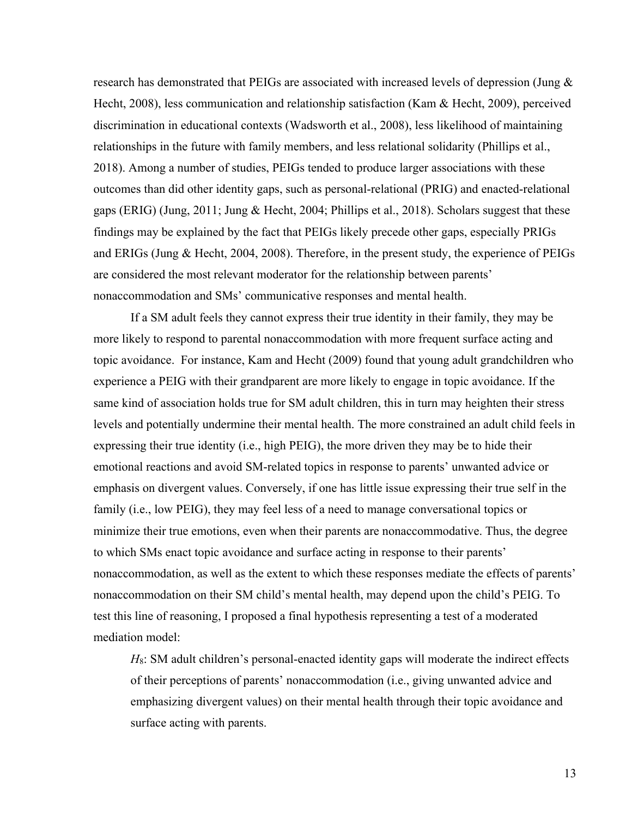research has demonstrated that PEIGs are associated with increased levels of depression (Jung & Hecht, 2008), less communication and relationship satisfaction (Kam & Hecht, 2009), perceived discrimination in educational contexts (Wadsworth et al., 2008), less likelihood of maintaining relationships in the future with family members, and less relational solidarity (Phillips et al., 2018). Among a number of studies, PEIGs tended to produce larger associations with these outcomes than did other identity gaps, such as personal-relational (PRIG) and enacted-relational gaps (ERIG) (Jung, 2011; Jung & Hecht, 2004; Phillips et al., 2018). Scholars suggest that these findings may be explained by the fact that PEIGs likely precede other gaps, especially PRIGs and ERIGs (Jung & Hecht, 2004, 2008). Therefore, in the present study, the experience of PEIGs are considered the most relevant moderator for the relationship between parents' nonaccommodation and SMs' communicative responses and mental health.

If a SM adult feels they cannot express their true identity in their family, they may be more likely to respond to parental nonaccommodation with more frequent surface acting and topic avoidance. For instance, Kam and Hecht (2009) found that young adult grandchildren who experience a PEIG with their grandparent are more likely to engage in topic avoidance. If the same kind of association holds true for SM adult children, this in turn may heighten their stress levels and potentially undermine their mental health. The more constrained an adult child feels in expressing their true identity (i.e., high PEIG), the more driven they may be to hide their emotional reactions and avoid SM-related topics in response to parents' unwanted advice or emphasis on divergent values. Conversely, if one has little issue expressing their true self in the family (i.e., low PEIG), they may feel less of a need to manage conversational topics or minimize their true emotions, even when their parents are nonaccommodative. Thus, the degree to which SMs enact topic avoidance and surface acting in response to their parents' nonaccommodation, as well as the extent to which these responses mediate the effects of parents' nonaccommodation on their SM child's mental health, may depend upon the child's PEIG. To test this line of reasoning, I proposed a final hypothesis representing a test of a moderated mediation model:

*H*8: SM adult children's personal-enacted identity gaps will moderate the indirect effects of their perceptions of parents' nonaccommodation (i.e., giving unwanted advice and emphasizing divergent values) on their mental health through their topic avoidance and surface acting with parents.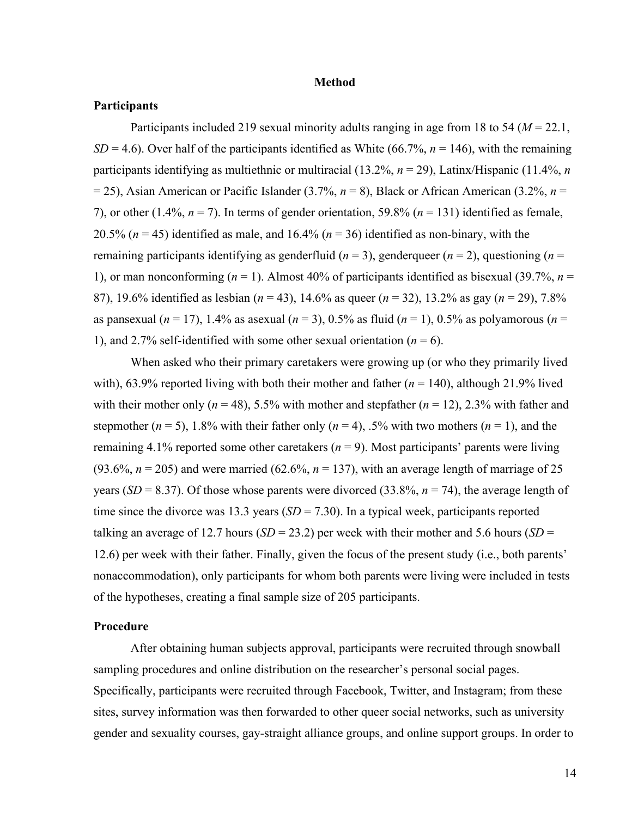#### **Method**

#### **Participants**

Participants included 219 sexual minority adults ranging in age from 18 to 54 (*M* = 22.1,  $SD = 4.6$ ). Over half of the participants identified as White (66.7%,  $n = 146$ ), with the remaining participants identifying as multiethnic or multiracial (13.2%, *n* = 29), Latinx/Hispanic (11.4%, *n* = 25), Asian American or Pacific Islander (3.7%, *n* = 8), Black or African American (3.2%, *n* = 7), or other (1.4%,  $n = 7$ ). In terms of gender orientation, 59.8% ( $n = 131$ ) identified as female, 20.5% ( $n = 45$ ) identified as male, and 16.4% ( $n = 36$ ) identified as non-binary, with the remaining participants identifying as genderfluid ( $n = 3$ ), genderqueer ( $n = 2$ ), questioning ( $n =$ 1), or man nonconforming ( $n = 1$ ). Almost 40% of participants identified as bisexual (39.7%,  $n =$ 87), 19.6% identified as lesbian (*n* = 43), 14.6% as queer (*n* = 32), 13.2% as gay (*n* = 29), 7.8% as pansexual (*n* = 17), 1.4% as asexual (*n* = 3), 0.5% as fluid (*n* = 1), 0.5% as polyamorous (*n* = 1), and 2.7% self-identified with some other sexual orientation  $(n = 6)$ .

When asked who their primary caretakers were growing up (or who they primarily lived with), 63.9% reported living with both their mother and father (*n* = 140), although 21.9% lived with their mother only ( $n = 48$ ), 5.5% with mother and stepfather ( $n = 12$ ), 2.3% with father and stepmother ( $n = 5$ ), 1.8% with their father only ( $n = 4$ ), .5% with two mothers ( $n = 1$ ), and the remaining 4.1% reported some other caretakers  $(n = 9)$ . Most participants' parents were living (93.6%,  $n = 205$ ) and were married (62.6%,  $n = 137$ ), with an average length of marriage of 25 years (*SD* = 8.37). Of those whose parents were divorced (33.8%,  $n = 74$ ), the average length of time since the divorce was 13.3 years  $(SD = 7.30)$ . In a typical week, participants reported talking an average of 12.7 hours ( $SD = 23.2$ ) per week with their mother and 5.6 hours ( $SD =$ 12.6) per week with their father. Finally, given the focus of the present study (i.e., both parents' nonaccommodation), only participants for whom both parents were living were included in tests of the hypotheses, creating a final sample size of 205 participants.

#### **Procedure**

After obtaining human subjects approval, participants were recruited through snowball sampling procedures and online distribution on the researcher's personal social pages. Specifically, participants were recruited through Facebook, Twitter, and Instagram; from these sites, survey information was then forwarded to other queer social networks, such as university gender and sexuality courses, gay-straight alliance groups, and online support groups. In order to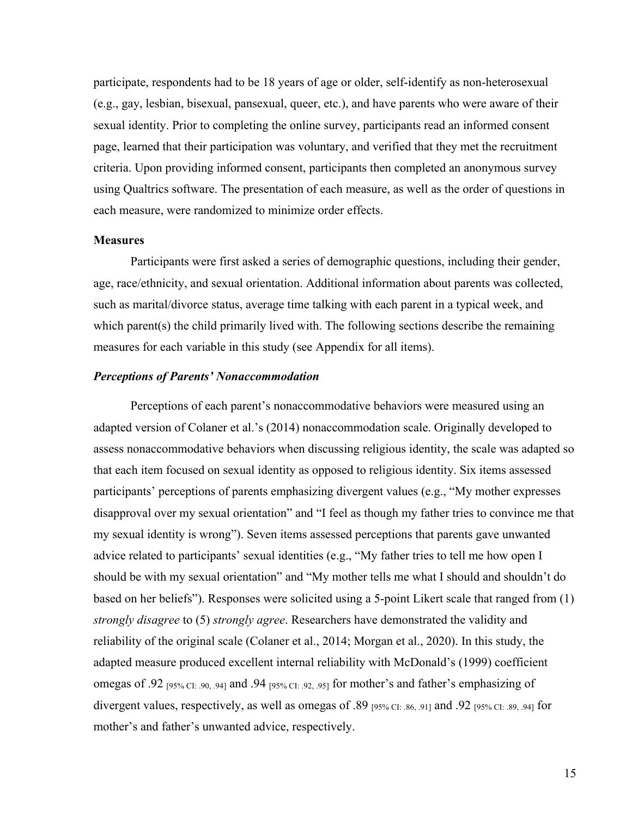participate, respondents had to be 18 years of age or older, self-identify as non-heterosexual (e.g., gay, lesbian, bisexual, pansexual, queer, etc.), and have parents who were aware of their sexual identity. Prior to completing the online survey, participants read an informed consent page, learned that their participation was voluntary, and verified that they met the recruitment criteria. Upon providing informed consent, participants then completed an anonymous survey using Qualtrics software. The presentation of each measure, as well as the order of questions in each measure, were randomized to minimize order effects.

#### **Measures**

Participants were first asked a series of demographic questions, including their gender, age, race/ethnicity, and sexual orientation. Additional information about parents was collected, such as marital/divorce status, average time talking with each parent in a typical week, and which parent(s) the child primarily lived with. The following sections describe the remaining measures for each variable in this study (see Appendix for all items).

#### *Perceptions of Parents' Nonaccommodation*

Perceptions of each parent's nonaccommodative behaviors were measured using an adapted version of Colaner et al.'s (2014) nonaccommodation scale. Originally developed to assess nonaccommodative behaviors when discussing religious identity, the scale was adapted so that each item focused on sexual identity as opposed to religious identity. Six items assessed participants' perceptions of parents emphasizing divergent values (e.g., "My mother expresses disapproval over my sexual orientation" and "I feel as though my father tries to convince me that my sexual identity is wrong"). Seven items assessed perceptions that parents gave unwanted advice related to participants' sexual identities (e.g., "My father tries to tell me how open I should be with my sexual orientation" and "My mother tells me what I should and shouldn't do based on her beliefs"). Responses were solicited using a 5-point Likert scale that ranged from (1) *strongly disagree* to (5) *strongly agree*. Researchers have demonstrated the validity and reliability of the original scale (Colaner et al., 2014; Morgan et al., 2020). In this study, the adapted measure produced excellent internal reliability with McDonald's (1999) coefficient omegas of .92 [95% CI: .90, .94] and .94 [95% CI: .92, .95] for mother's and father's emphasizing of divergent values, respectively, as well as omegas of .89  $_{[95\% \text{ CI} : 86, .91]}$  and .92  $_{[95\% \text{ CI} : 89, .94]}$  for mother's and father's unwanted advice, respectively.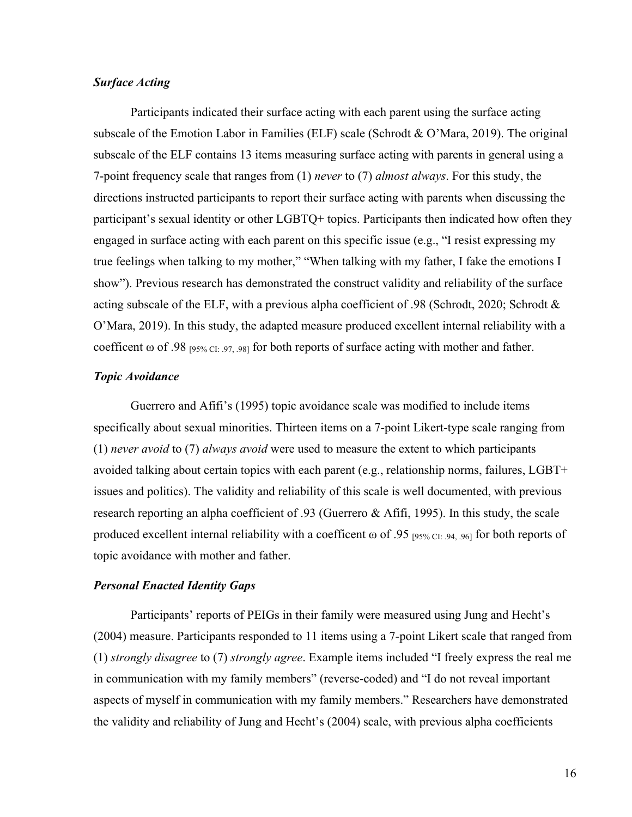#### *Surface Acting*

Participants indicated their surface acting with each parent using the surface acting subscale of the Emotion Labor in Families (ELF) scale (Schrodt & O'Mara, 2019). The original subscale of the ELF contains 13 items measuring surface acting with parents in general using a 7-point frequency scale that ranges from (1) *never* to (7) *almost always*. For this study, the directions instructed participants to report their surface acting with parents when discussing the participant's sexual identity or other LGBTQ+ topics. Participants then indicated how often they engaged in surface acting with each parent on this specific issue (e.g., "I resist expressing my true feelings when talking to my mother," "When talking with my father, I fake the emotions I show"). Previous research has demonstrated the construct validity and reliability of the surface acting subscale of the ELF, with a previous alpha coefficient of .98 (Schrodt, 2020; Schrodt  $\&$ O'Mara, 2019). In this study, the adapted measure produced excellent internal reliability with a coefficent  $\omega$  of .98  $_{[95\% \text{ CI}: 97, 98]}$  for both reports of surface acting with mother and father.

#### *Topic Avoidance*

Guerrero and Afifi's (1995) topic avoidance scale was modified to include items specifically about sexual minorities. Thirteen items on a 7-point Likert-type scale ranging from (1) *never avoid* to (7) *always avoid* were used to measure the extent to which participants avoided talking about certain topics with each parent (e.g., relationship norms, failures, LGBT+ issues and politics). The validity and reliability of this scale is well documented, with previous research reporting an alpha coefficient of .93 (Guerrero & Afifi, 1995). In this study, the scale produced excellent internal reliability with a coefficent  $\omega$  of .95 [95% CI: .94, .96] for both reports of topic avoidance with mother and father.

#### *Personal Enacted Identity Gaps*

Participants' reports of PEIGs in their family were measured using Jung and Hecht's (2004) measure. Participants responded to 11 items using a 7-point Likert scale that ranged from (1) *strongly disagree* to (7) *strongly agree*. Example items included "I freely express the real me in communication with my family members" (reverse-coded) and "I do not reveal important aspects of myself in communication with my family members." Researchers have demonstrated the validity and reliability of Jung and Hecht's (2004) scale, with previous alpha coefficients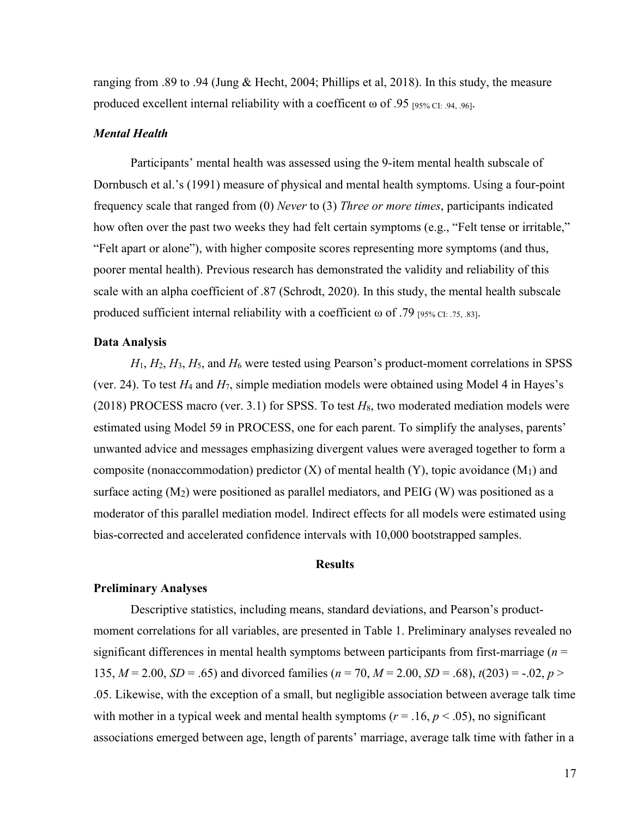ranging from .89 to .94 (Jung & Hecht, 2004; Phillips et al, 2018). In this study, the measure produced excellent internal reliability with a coefficent  $\omega$  of .95 [95% CI: .94, .96].

#### *Mental Health*

Participants' mental health was assessed using the 9-item mental health subscale of Dornbusch et al.'s (1991) measure of physical and mental health symptoms. Using a four-point frequency scale that ranged from (0) *Never* to (3) *Three or more times*, participants indicated how often over the past two weeks they had felt certain symptoms (e.g., "Felt tense or irritable," "Felt apart or alone"), with higher composite scores representing more symptoms (and thus, poorer mental health). Previous research has demonstrated the validity and reliability of this scale with an alpha coefficient of .87 (Schrodt, 2020). In this study, the mental health subscale produced sufficient internal reliability with a coefficient  $\omega$  of .79 [95% CI: .75, .83].

#### **Data Analysis**

 $H_1, H_2, H_3, H_5$ , and  $H_6$  were tested using Pearson's product-moment correlations in SPSS (ver. 24). To test  $H_4$  and  $H_7$ , simple mediation models were obtained using Model 4 in Hayes's (2018) PROCESS macro (ver. 3.1) for SPSS. To test  $H_8$ , two moderated mediation models were estimated using Model 59 in PROCESS, one for each parent. To simplify the analyses, parents' unwanted advice and messages emphasizing divergent values were averaged together to form a composite (nonaccommodation) predictor  $(X)$  of mental health  $(Y)$ , topic avoidance  $(M<sub>1</sub>)$  and surface acting  $(M_2)$  were positioned as parallel mediators, and PEIG  $(W)$  was positioned as a moderator of this parallel mediation model. Indirect effects for all models were estimated using bias-corrected and accelerated confidence intervals with 10,000 bootstrapped samples.

#### **Results**

#### **Preliminary Analyses**

Descriptive statistics, including means, standard deviations, and Pearson's productmoment correlations for all variables, are presented in Table 1. Preliminary analyses revealed no significant differences in mental health symptoms between participants from first-marriage (*n* = 135,  $M = 2.00$ ,  $SD = .65$ ) and divorced families ( $n = 70$ ,  $M = 2.00$ ,  $SD = .68$ ),  $t(203) = -.02$ ,  $p >$ .05. Likewise, with the exception of a small, but negligible association between average talk time with mother in a typical week and mental health symptoms ( $r = .16$ ,  $p < .05$ ), no significant associations emerged between age, length of parents' marriage, average talk time with father in a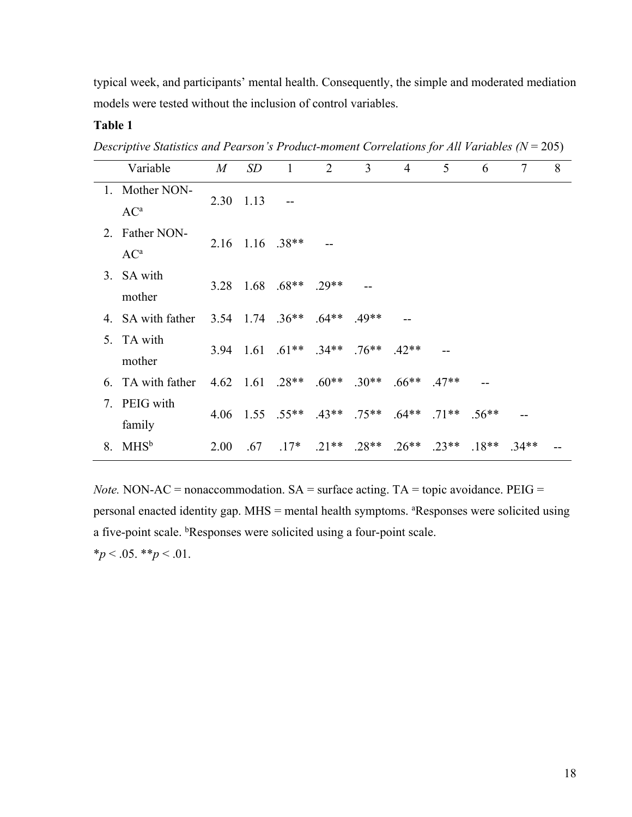typical week, and participants' mental health. Consequently, the simple and moderated mediation models were tested without the inclusion of control variables.

### **Table 1**

*Descriptive Statistics and Pearson's Product-moment Correlations for All Variables (N* = 205)

| 8       |
|---------|
|         |
|         |
|         |
|         |
|         |
|         |
|         |
|         |
|         |
|         |
|         |
|         |
| $.34**$ |
|         |

*Note.* NON-AC = nonaccommodation.  $SA = \text{surface}$  acting. TA = topic avoidance. PEIG = personal enacted identity gap. MHS = mental health symptoms. <sup>a</sup>Responses were solicited using a five-point scale. <sup>b</sup>Responses were solicited using a four-point scale.  $**p* < .05.$   $**p* < .01.$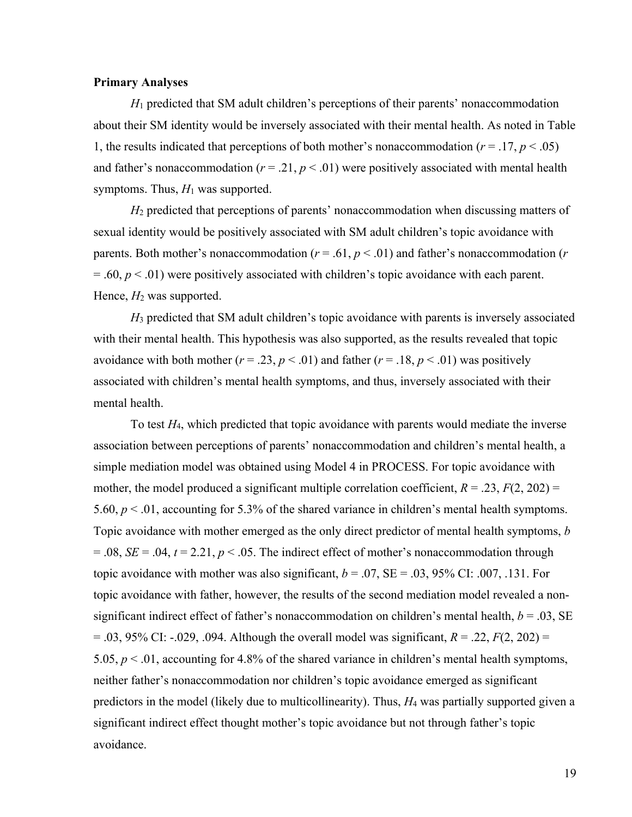#### **Primary Analyses**

*H*<sup>1</sup> predicted that SM adult children's perceptions of their parents' nonaccommodation about their SM identity would be inversely associated with their mental health. As noted in Table 1, the results indicated that perceptions of both mother's nonaccommodation  $(r = .17, p < .05)$ and father's nonaccommodation ( $r = .21$ ,  $p < .01$ ) were positively associated with mental health symptoms. Thus,  $H_1$  was supported.

*H*<sup>2</sup> predicted that perceptions of parents' nonaccommodation when discussing matters of sexual identity would be positively associated with SM adult children's topic avoidance with parents. Both mother's nonaccommodation ( $r = .61$ ,  $p < .01$ ) and father's nonaccommodation ( $r$ )  $= 0.60, p \lt 0.01$ ) were positively associated with children's topic avoidance with each parent. Hence,  $H_2$  was supported.

*H*<sup>3</sup> predicted that SM adult children's topic avoidance with parents is inversely associated with their mental health. This hypothesis was also supported, as the results revealed that topic avoidance with both mother ( $r = .23$ ,  $p < .01$ ) and father ( $r = .18$ ,  $p < .01$ ) was positively associated with children's mental health symptoms, and thus, inversely associated with their mental health.

To test *H*4, which predicted that topic avoidance with parents would mediate the inverse association between perceptions of parents' nonaccommodation and children's mental health, a simple mediation model was obtained using Model 4 in PROCESS. For topic avoidance with mother, the model produced a significant multiple correlation coefficient,  $R = .23$ ,  $F(2, 202) =$ 5.60, *p* < .01, accounting for 5.3% of the shared variance in children's mental health symptoms. Topic avoidance with mother emerged as the only direct predictor of mental health symptoms, *b*   $= .08$ , *SE* = .04, *t* = 2.21, *p* < .05. The indirect effect of mother's nonaccommodation through topic avoidance with mother was also significant,  $b = .07$ ,  $SE = .03$ , 95% CI: .007, .131. For topic avoidance with father, however, the results of the second mediation model revealed a nonsignificant indirect effect of father's nonaccommodation on children's mental health,  $b = .03$ , SE  $= .03, 95\%$  CI:  $-.029, .094$ . Although the overall model was significant,  $R = .22, F(2, 202) =$ 5.05, *p* < .01, accounting for 4.8% of the shared variance in children's mental health symptoms, neither father's nonaccommodation nor children's topic avoidance emerged as significant predictors in the model (likely due to multicollinearity). Thus, *H*<sup>4</sup> was partially supported given a significant indirect effect thought mother's topic avoidance but not through father's topic avoidance.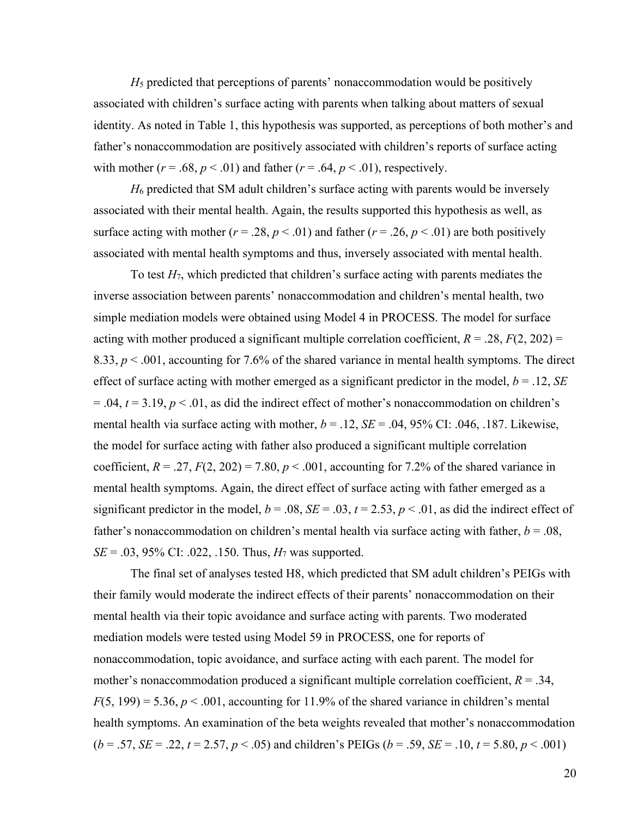*H*<sup>5</sup> predicted that perceptions of parents' nonaccommodation would be positively associated with children's surface acting with parents when talking about matters of sexual identity. As noted in Table 1, this hypothesis was supported, as perceptions of both mother's and father's nonaccommodation are positively associated with children's reports of surface acting with mother  $(r = .68, p < .01)$  and father  $(r = .64, p < .01)$ , respectively.

*H*<sup>6</sup> predicted that SM adult children's surface acting with parents would be inversely associated with their mental health. Again, the results supported this hypothesis as well, as surface acting with mother ( $r = .28$ ,  $p < .01$ ) and father ( $r = .26$ ,  $p < .01$ ) are both positively associated with mental health symptoms and thus, inversely associated with mental health.

To test *H*7, which predicted that children's surface acting with parents mediates the inverse association between parents' nonaccommodation and children's mental health, two simple mediation models were obtained using Model 4 in PROCESS. The model for surface acting with mother produced a significant multiple correlation coefficient,  $R = .28$ ,  $F(2, 202) =$ 8.33, *p* < .001, accounting for 7.6% of the shared variance in mental health symptoms. The direct effect of surface acting with mother emerged as a significant predictor in the model,  $b = .12$ , *SE* = .04, *t* = 3.19, *p* < .01, as did the indirect effect of mother's nonaccommodation on children's mental health via surface acting with mother,  $b = .12$ ,  $SE = .04$ , 95% CI: .046, .187. Likewise, the model for surface acting with father also produced a significant multiple correlation coefficient,  $R = .27$ ,  $F(2, 202) = 7.80$ ,  $p < .001$ , accounting for 7.2% of the shared variance in mental health symptoms. Again, the direct effect of surface acting with father emerged as a significant predictor in the model,  $b = .08$ ,  $SE = .03$ ,  $t = 2.53$ ,  $p < .01$ , as did the indirect effect of father's nonaccommodation on children's mental health via surface acting with father, *b* = .08, *SE* = .03, 95% CI: .022, .150. Thus,  $H_7$  was supported.

The final set of analyses tested H8, which predicted that SM adult children's PEIGs with their family would moderate the indirect effects of their parents' nonaccommodation on their mental health via their topic avoidance and surface acting with parents. Two moderated mediation models were tested using Model 59 in PROCESS, one for reports of nonaccommodation, topic avoidance, and surface acting with each parent. The model for mother's nonaccommodation produced a significant multiple correlation coefficient,  $R = .34$ ,  $F(5, 199) = 5.36, p < .001$ , accounting for 11.9% of the shared variance in children's mental health symptoms. An examination of the beta weights revealed that mother's nonaccommodation  $(b = .57, SE = .22, t = 2.57, p < .05)$  and children's PEIGs  $(b = .59, SE = .10, t = 5.80, p < .001)$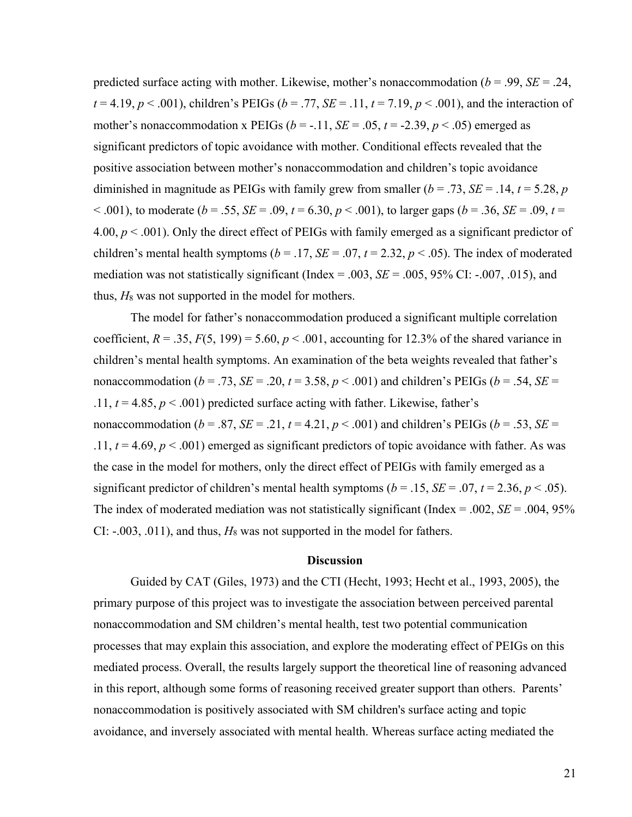predicted surface acting with mother. Likewise, mother's nonaccommodation (*b* = .99, *SE* = .24,  $t = 4.19$ ,  $p < .001$ ), children's PEIGs ( $b = .77$ ,  $SE = .11$ ,  $t = 7.19$ ,  $p < .001$ ), and the interaction of mother's nonaccommodation x PEIGs ( $b = -11$ ,  $SE = .05$ ,  $t = -2.39$ ,  $p < .05$ ) emerged as significant predictors of topic avoidance with mother. Conditional effects revealed that the positive association between mother's nonaccommodation and children's topic avoidance diminished in magnitude as PEIGs with family grew from smaller  $(b = .73, SE = .14, t = 5.28, p$  $(6.001)$ , to moderate (*b* = .55, *SE* = .09, *t* = 6.30, *p* < .001), to larger gaps (*b* = .36, *SE* = .09, *t* = 4.00, *p* < .001). Only the direct effect of PEIGs with family emerged as a significant predictor of children's mental health symptoms ( $b = .17$ ,  $SE = .07$ ,  $t = 2.32$ ,  $p < .05$ ). The index of moderated mediation was not statistically significant (Index = .003, *SE* = .005, 95% CI: -.007, .015), and thus,  $H_8$  was not supported in the model for mothers.

The model for father's nonaccommodation produced a significant multiple correlation coefficient,  $R = .35$ ,  $F(5, 199) = 5.60$ ,  $p < .001$ , accounting for 12.3% of the shared variance in children's mental health symptoms. An examination of the beta weights revealed that father's nonaccommodation ( $b = .73$ ,  $SE = .20$ ,  $t = 3.58$ ,  $p < .001$ ) and children's PEIGs ( $b = .54$ ,  $SE =$ .11,  $t = 4.85$ ,  $p < .001$ ) predicted surface acting with father. Likewise, father's nonaccommodation ( $b = .87$ ,  $SE = .21$ ,  $t = 4.21$ ,  $p < .001$ ) and children's PEIGs ( $b = .53$ ,  $SE =$ .11,  $t = 4.69$ ,  $p < .001$ ) emerged as significant predictors of topic avoidance with father. As was the case in the model for mothers, only the direct effect of PEIGs with family emerged as a significant predictor of children's mental health symptoms ( $b = .15$ ,  $SE = .07$ ,  $t = 2.36$ ,  $p < .05$ ). The index of moderated mediation was not statistically significant (Index  $= .002$ , *SE*  $= .004$ , 95% CI: -.003, .011), and thus, *H*<sup>8</sup> was not supported in the model for fathers.

#### **Discussion**

Guided by CAT (Giles, 1973) and the CTI (Hecht, 1993; Hecht et al., 1993, 2005), the primary purpose of this project was to investigate the association between perceived parental nonaccommodation and SM children's mental health, test two potential communication processes that may explain this association, and explore the moderating effect of PEIGs on this mediated process. Overall, the results largely support the theoretical line of reasoning advanced in this report, although some forms of reasoning received greater support than others. Parents' nonaccommodation is positively associated with SM children's surface acting and topic avoidance, and inversely associated with mental health. Whereas surface acting mediated the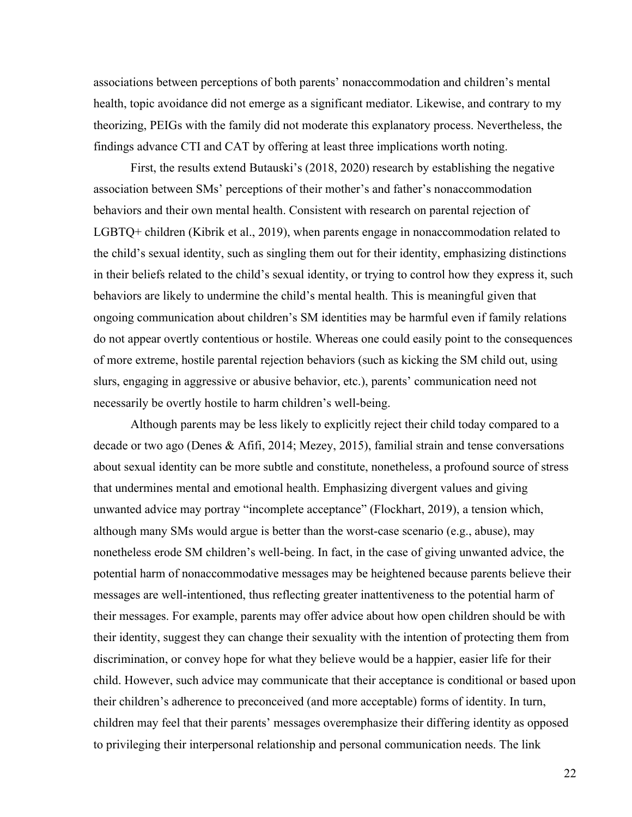associations between perceptions of both parents' nonaccommodation and children's mental health, topic avoidance did not emerge as a significant mediator. Likewise, and contrary to my theorizing, PEIGs with the family did not moderate this explanatory process. Nevertheless, the findings advance CTI and CAT by offering at least three implications worth noting.

First, the results extend Butauski's (2018, 2020) research by establishing the negative association between SMs' perceptions of their mother's and father's nonaccommodation behaviors and their own mental health. Consistent with research on parental rejection of LGBTQ+ children (Kibrik et al., 2019), when parents engage in nonaccommodation related to the child's sexual identity, such as singling them out for their identity, emphasizing distinctions in their beliefs related to the child's sexual identity, or trying to control how they express it, such behaviors are likely to undermine the child's mental health. This is meaningful given that ongoing communication about children's SM identities may be harmful even if family relations do not appear overtly contentious or hostile. Whereas one could easily point to the consequences of more extreme, hostile parental rejection behaviors (such as kicking the SM child out, using slurs, engaging in aggressive or abusive behavior, etc.), parents' communication need not necessarily be overtly hostile to harm children's well-being.

Although parents may be less likely to explicitly reject their child today compared to a decade or two ago (Denes & Afifi, 2014; Mezey, 2015), familial strain and tense conversations about sexual identity can be more subtle and constitute, nonetheless, a profound source of stress that undermines mental and emotional health. Emphasizing divergent values and giving unwanted advice may portray "incomplete acceptance" (Flockhart, 2019), a tension which, although many SMs would argue is better than the worst-case scenario (e.g., abuse), may nonetheless erode SM children's well-being. In fact, in the case of giving unwanted advice, the potential harm of nonaccommodative messages may be heightened because parents believe their messages are well-intentioned, thus reflecting greater inattentiveness to the potential harm of their messages. For example, parents may offer advice about how open children should be with their identity, suggest they can change their sexuality with the intention of protecting them from discrimination, or convey hope for what they believe would be a happier, easier life for their child. However, such advice may communicate that their acceptance is conditional or based upon their children's adherence to preconceived (and more acceptable) forms of identity. In turn, children may feel that their parents' messages overemphasize their differing identity as opposed to privileging their interpersonal relationship and personal communication needs. The link

22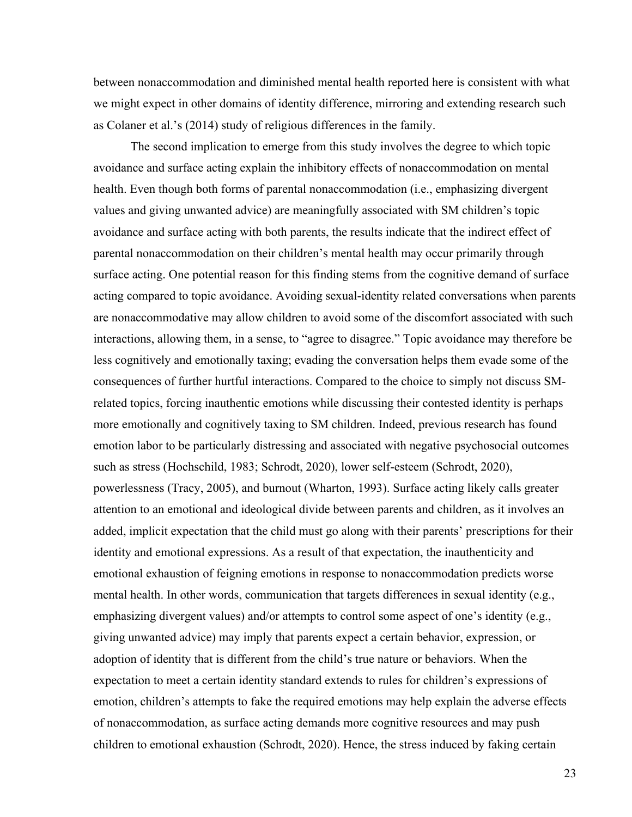between nonaccommodation and diminished mental health reported here is consistent with what we might expect in other domains of identity difference, mirroring and extending research such as Colaner et al.'s (2014) study of religious differences in the family.

The second implication to emerge from this study involves the degree to which topic avoidance and surface acting explain the inhibitory effects of nonaccommodation on mental health. Even though both forms of parental nonaccommodation (i.e., emphasizing divergent values and giving unwanted advice) are meaningfully associated with SM children's topic avoidance and surface acting with both parents, the results indicate that the indirect effect of parental nonaccommodation on their children's mental health may occur primarily through surface acting. One potential reason for this finding stems from the cognitive demand of surface acting compared to topic avoidance. Avoiding sexual-identity related conversations when parents are nonaccommodative may allow children to avoid some of the discomfort associated with such interactions, allowing them, in a sense, to "agree to disagree." Topic avoidance may therefore be less cognitively and emotionally taxing; evading the conversation helps them evade some of the consequences of further hurtful interactions. Compared to the choice to simply not discuss SMrelated topics, forcing inauthentic emotions while discussing their contested identity is perhaps more emotionally and cognitively taxing to SM children. Indeed, previous research has found emotion labor to be particularly distressing and associated with negative psychosocial outcomes such as stress (Hochschild, 1983; Schrodt, 2020), lower self-esteem (Schrodt, 2020), powerlessness (Tracy, 2005), and burnout (Wharton, 1993). Surface acting likely calls greater attention to an emotional and ideological divide between parents and children, as it involves an added, implicit expectation that the child must go along with their parents' prescriptions for their identity and emotional expressions. As a result of that expectation, the inauthenticity and emotional exhaustion of feigning emotions in response to nonaccommodation predicts worse mental health. In other words, communication that targets differences in sexual identity (e.g., emphasizing divergent values) and/or attempts to control some aspect of one's identity (e.g., giving unwanted advice) may imply that parents expect a certain behavior, expression, or adoption of identity that is different from the child's true nature or behaviors. When the expectation to meet a certain identity standard extends to rules for children's expressions of emotion, children's attempts to fake the required emotions may help explain the adverse effects of nonaccommodation, as surface acting demands more cognitive resources and may push children to emotional exhaustion (Schrodt, 2020). Hence, the stress induced by faking certain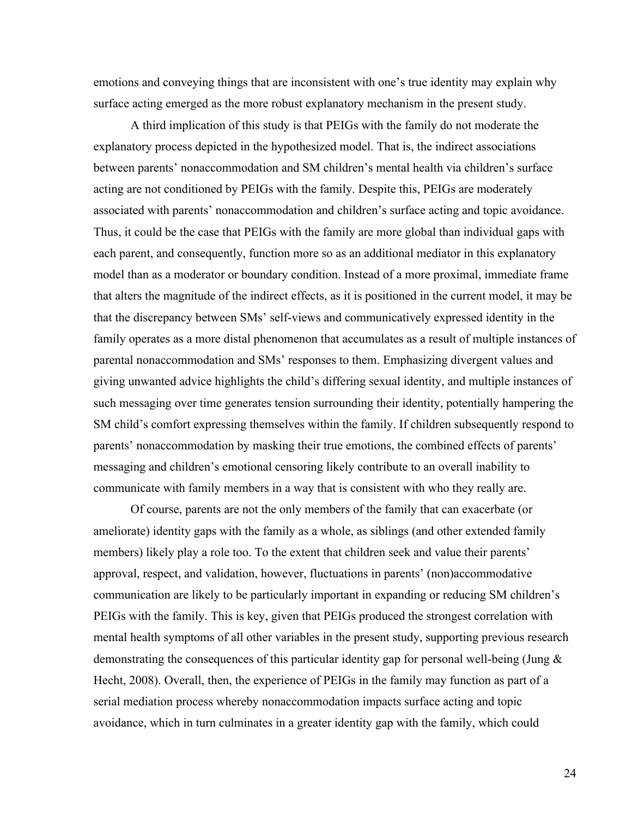emotions and conveying things that are inconsistent with one's true identity may explain why surface acting emerged as the more robust explanatory mechanism in the present study.

A third implication of this study is that PEIGs with the family do not moderate the explanatory process depicted in the hypothesized model. That is, the indirect associations between parents' nonaccommodation and SM children's mental health via children's surface acting are not conditioned by PEIGs with the family. Despite this, PEIGs are moderately associated with parents' nonaccommodation and children's surface acting and topic avoidance. Thus, it could be the case that PEIGs with the family are more global than individual gaps with each parent, and consequently, function more so as an additional mediator in this explanatory model than as a moderator or boundary condition. Instead of a more proximal, immediate frame that alters the magnitude of the indirect effects, as it is positioned in the current model, it may be that the discrepancy between SMs' self-views and communicatively expressed identity in the family operates as a more distal phenomenon that accumulates as a result of multiple instances of parental nonaccommodation and SMs' responses to them. Emphasizing divergent values and giving unwanted advice highlights the child's differing sexual identity, and multiple instances of such messaging over time generates tension surrounding their identity, potentially hampering the SM child's comfort expressing themselves within the family. If children subsequently respond to parents' nonaccommodation by masking their true emotions, the combined effects of parents' messaging and children's emotional censoring likely contribute to an overall inability to communicate with family members in a way that is consistent with who they really are.

Of course, parents are not the only members of the family that can exacerbate (or ameliorate) identity gaps with the family as a whole, as siblings (and other extended family members) likely play a role too. To the extent that children seek and value their parents' approval, respect, and validation, however, fluctuations in parents' (non)accommodative communication are likely to be particularly important in expanding or reducing SM children's PEIGs with the family. This is key, given that PEIGs produced the strongest correlation with mental health symptoms of all other variables in the present study, supporting previous research demonstrating the consequences of this particular identity gap for personal well-being (Jung & Hecht, 2008). Overall, then, the experience of PEIGs in the family may function as part of a serial mediation process whereby nonaccommodation impacts surface acting and topic avoidance, which in turn culminates in a greater identity gap with the family, which could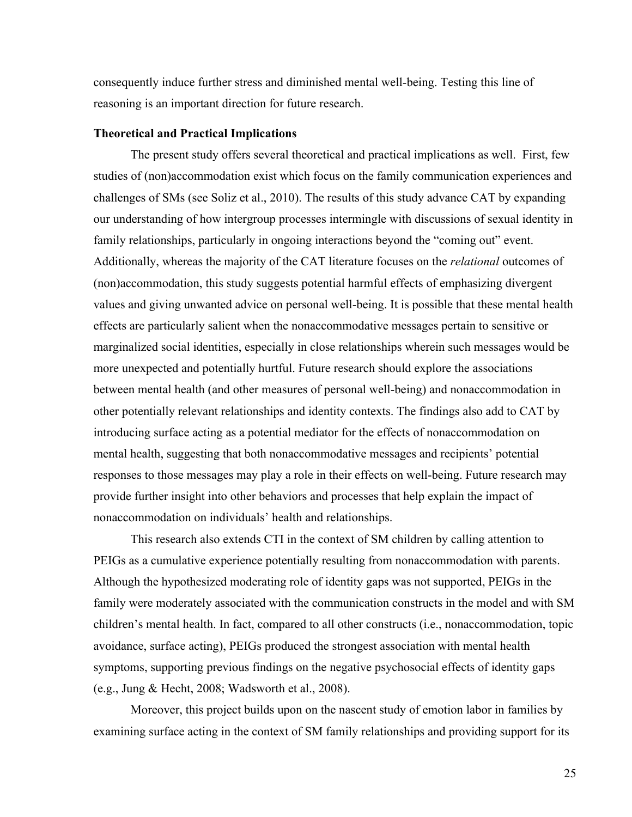consequently induce further stress and diminished mental well-being. Testing this line of reasoning is an important direction for future research.

#### **Theoretical and Practical Implications**

The present study offers several theoretical and practical implications as well. First, few studies of (non)accommodation exist which focus on the family communication experiences and challenges of SMs (see Soliz et al., 2010). The results of this study advance CAT by expanding our understanding of how intergroup processes intermingle with discussions of sexual identity in family relationships, particularly in ongoing interactions beyond the "coming out" event. Additionally, whereas the majority of the CAT literature focuses on the *relational* outcomes of (non)accommodation, this study suggests potential harmful effects of emphasizing divergent values and giving unwanted advice on personal well-being. It is possible that these mental health effects are particularly salient when the nonaccommodative messages pertain to sensitive or marginalized social identities, especially in close relationships wherein such messages would be more unexpected and potentially hurtful. Future research should explore the associations between mental health (and other measures of personal well-being) and nonaccommodation in other potentially relevant relationships and identity contexts. The findings also add to CAT by introducing surface acting as a potential mediator for the effects of nonaccommodation on mental health, suggesting that both nonaccommodative messages and recipients' potential responses to those messages may play a role in their effects on well-being. Future research may provide further insight into other behaviors and processes that help explain the impact of nonaccommodation on individuals' health and relationships.

This research also extends CTI in the context of SM children by calling attention to PEIGs as a cumulative experience potentially resulting from nonaccommodation with parents. Although the hypothesized moderating role of identity gaps was not supported, PEIGs in the family were moderately associated with the communication constructs in the model and with SM children's mental health. In fact, compared to all other constructs (i.e., nonaccommodation, topic avoidance, surface acting), PEIGs produced the strongest association with mental health symptoms, supporting previous findings on the negative psychosocial effects of identity gaps (e.g., Jung & Hecht, 2008; Wadsworth et al., 2008).

Moreover, this project builds upon on the nascent study of emotion labor in families by examining surface acting in the context of SM family relationships and providing support for its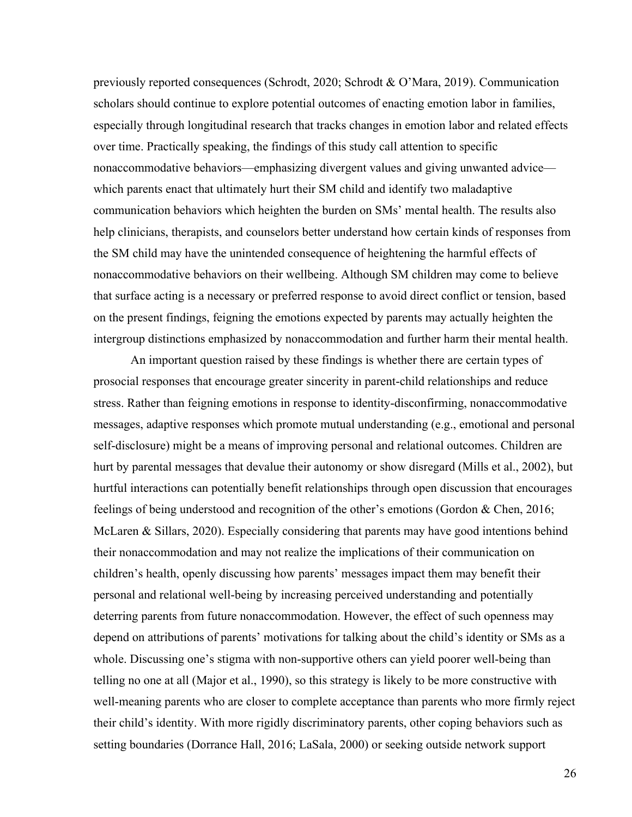previously reported consequences (Schrodt, 2020; Schrodt & O'Mara, 2019). Communication scholars should continue to explore potential outcomes of enacting emotion labor in families, especially through longitudinal research that tracks changes in emotion labor and related effects over time. Practically speaking, the findings of this study call attention to specific nonaccommodative behaviors—emphasizing divergent values and giving unwanted advice which parents enact that ultimately hurt their SM child and identify two maladaptive communication behaviors which heighten the burden on SMs' mental health. The results also help clinicians, therapists, and counselors better understand how certain kinds of responses from the SM child may have the unintended consequence of heightening the harmful effects of nonaccommodative behaviors on their wellbeing. Although SM children may come to believe that surface acting is a necessary or preferred response to avoid direct conflict or tension, based on the present findings, feigning the emotions expected by parents may actually heighten the intergroup distinctions emphasized by nonaccommodation and further harm their mental health.

An important question raised by these findings is whether there are certain types of prosocial responses that encourage greater sincerity in parent-child relationships and reduce stress. Rather than feigning emotions in response to identity-disconfirming, nonaccommodative messages, adaptive responses which promote mutual understanding (e.g., emotional and personal self-disclosure) might be a means of improving personal and relational outcomes. Children are hurt by parental messages that devalue their autonomy or show disregard (Mills et al., 2002), but hurtful interactions can potentially benefit relationships through open discussion that encourages feelings of being understood and recognition of the other's emotions (Gordon & Chen, 2016; McLaren & Sillars, 2020). Especially considering that parents may have good intentions behind their nonaccommodation and may not realize the implications of their communication on children's health, openly discussing how parents' messages impact them may benefit their personal and relational well-being by increasing perceived understanding and potentially deterring parents from future nonaccommodation. However, the effect of such openness may depend on attributions of parents' motivations for talking about the child's identity or SMs as a whole. Discussing one's stigma with non-supportive others can yield poorer well-being than telling no one at all (Major et al., 1990), so this strategy is likely to be more constructive with well-meaning parents who are closer to complete acceptance than parents who more firmly reject their child's identity. With more rigidly discriminatory parents, other coping behaviors such as setting boundaries (Dorrance Hall, 2016; LaSala, 2000) or seeking outside network support

26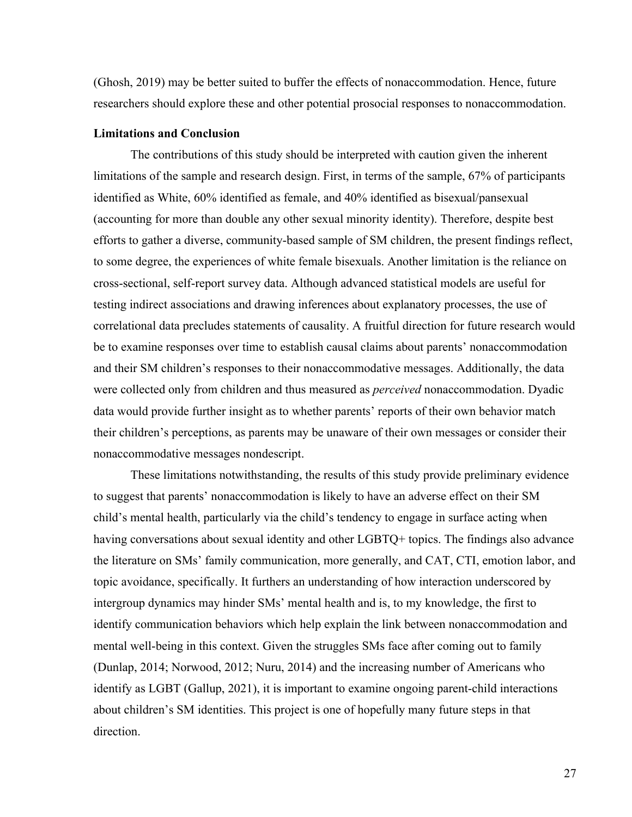(Ghosh, 2019) may be better suited to buffer the effects of nonaccommodation. Hence, future researchers should explore these and other potential prosocial responses to nonaccommodation.

#### **Limitations and Conclusion**

The contributions of this study should be interpreted with caution given the inherent limitations of the sample and research design. First, in terms of the sample, 67% of participants identified as White, 60% identified as female, and 40% identified as bisexual/pansexual (accounting for more than double any other sexual minority identity). Therefore, despite best efforts to gather a diverse, community-based sample of SM children, the present findings reflect, to some degree, the experiences of white female bisexuals. Another limitation is the reliance on cross-sectional, self-report survey data. Although advanced statistical models are useful for testing indirect associations and drawing inferences about explanatory processes, the use of correlational data precludes statements of causality. A fruitful direction for future research would be to examine responses over time to establish causal claims about parents' nonaccommodation and their SM children's responses to their nonaccommodative messages. Additionally, the data were collected only from children and thus measured as *perceived* nonaccommodation. Dyadic data would provide further insight as to whether parents' reports of their own behavior match their children's perceptions, as parents may be unaware of their own messages or consider their nonaccommodative messages nondescript.

These limitations notwithstanding, the results of this study provide preliminary evidence to suggest that parents' nonaccommodation is likely to have an adverse effect on their SM child's mental health, particularly via the child's tendency to engage in surface acting when having conversations about sexual identity and other LGBTQ+ topics. The findings also advance the literature on SMs' family communication, more generally, and CAT, CTI, emotion labor, and topic avoidance, specifically. It furthers an understanding of how interaction underscored by intergroup dynamics may hinder SMs' mental health and is, to my knowledge, the first to identify communication behaviors which help explain the link between nonaccommodation and mental well-being in this context. Given the struggles SMs face after coming out to family (Dunlap, 2014; Norwood, 2012; Nuru, 2014) and the increasing number of Americans who identify as LGBT (Gallup, 2021), it is important to examine ongoing parent-child interactions about children's SM identities. This project is one of hopefully many future steps in that direction.

27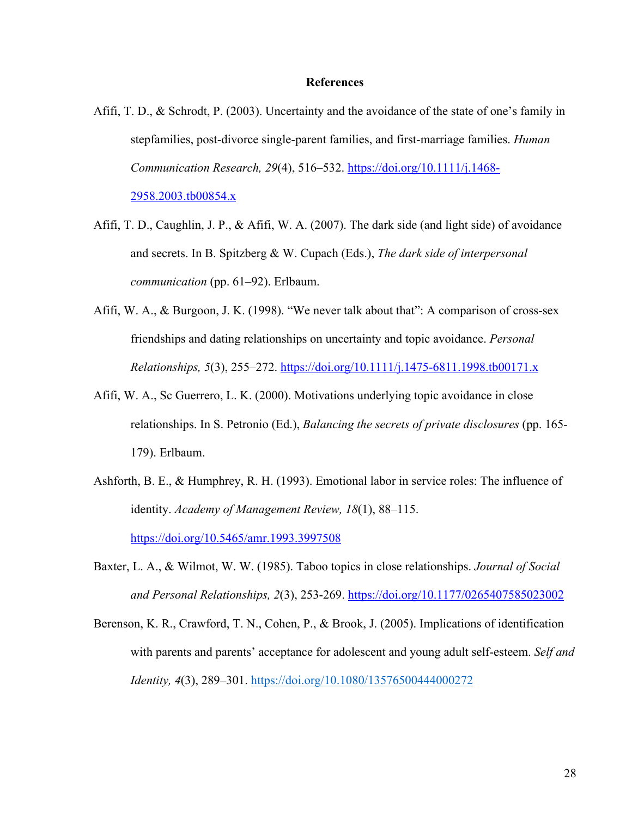#### **References**

- Afifi, T. D., & Schrodt, P. (2003). Uncertainty and the avoidance of the state of one's family in stepfamilies, post-divorce single-parent families, and first-marriage families. *Human Communication Research, 29*(4), 516–532. https://doi.org/10.1111/j.1468- 2958.2003.tb00854.x
- Afifi, T. D., Caughlin, J. P., & Afifi, W. A. (2007). The dark side (and light side) of avoidance and secrets. In B. Spitzberg & W. Cupach (Eds.), *The dark side of interpersonal communication* (pp. 61–92). Erlbaum.
- Afifi, W. A., & Burgoon, J. K. (1998). "We never talk about that": A comparison of cross-sex friendships and dating relationships on uncertainty and topic avoidance. *Personal Relationships, 5*(3), 255–272. https://doi.org/10.1111/j.1475-6811.1998.tb00171.x
- Afifi, W. A., Sc Guerrero, L. K. (2000). Motivations underlying topic avoidance in close relationships. In S. Petronio (Ed.), *Balancing the secrets of private disclosures* (pp. 165- 179). Erlbaum.
- Ashforth, B. E., & Humphrey, R. H. (1993). Emotional labor in service roles: The influence of identity. *Academy of Management Review, 18*(1), 88–115. https://doi.org/10.5465/amr.1993.3997508
- Baxter, L. A., & Wilmot, W. W. (1985). Taboo topics in close relationships. *Journal of Social and Personal Relationships, 2*(3), 253-269. https://doi.org/10.1177/0265407585023002
- Berenson, K. R., Crawford, T. N., Cohen, P., & Brook, J. (2005). Implications of identification with parents and parents' acceptance for adolescent and young adult self-esteem. *Self and Identity, 4(3), 289–301.* https://doi.org/10.1080/13576500444000272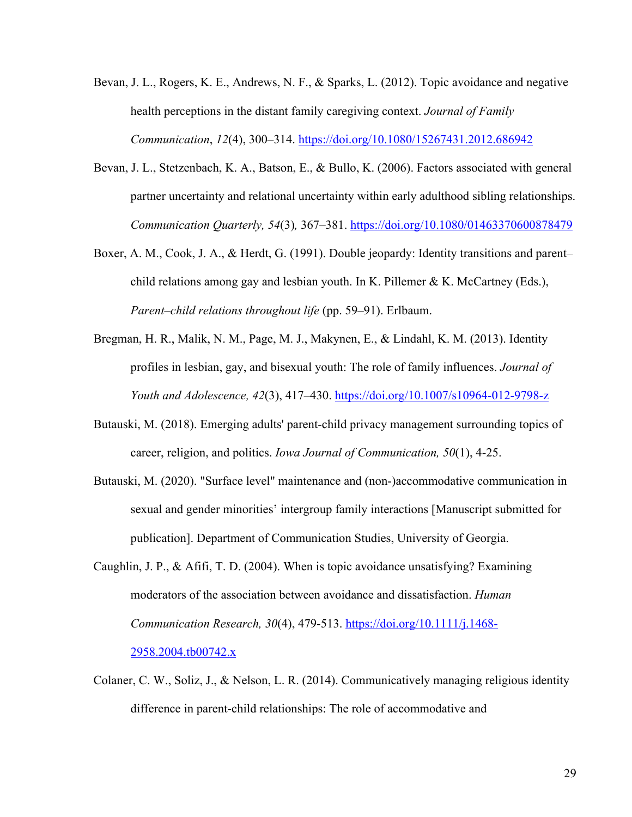- Bevan, J. L., Rogers, K. E., Andrews, N. F., & Sparks, L. (2012). Topic avoidance and negative health perceptions in the distant family caregiving context. *Journal of Family Communication*, *12*(4), 300–314. https://doi.org/10.1080/15267431.2012.686942
- Bevan, J. L., Stetzenbach, K. A., Batson, E., & Bullo, K. (2006). Factors associated with general partner uncertainty and relational uncertainty within early adulthood sibling relationships. *Communication Quarterly, 54*(3)*,* 367–381. https://doi.org/10.1080/01463370600878479
- Boxer, A. M., Cook, J. A., & Herdt, G. (1991). Double jeopardy: Identity transitions and parent– child relations among gay and lesbian youth. In K. Pillemer & K. McCartney (Eds.), *Parent–child relations throughout life* (pp. 59–91). Erlbaum.
- Bregman, H. R., Malik, N. M., Page, M. J., Makynen, E., & Lindahl, K. M. (2013). Identity profiles in lesbian, gay, and bisexual youth: The role of family influences. *Journal of Youth and Adolescence, 42*(3), 417–430. https://doi.org/10.1007/s10964-012-9798-z
- Butauski, M. (2018). Emerging adults' parent-child privacy management surrounding topics of career, religion, and politics. *Iowa Journal of Communication, 50*(1), 4-25.
- Butauski, M. (2020). "Surface level" maintenance and (non-)accommodative communication in sexual and gender minorities' intergroup family interactions [Manuscript submitted for publication]. Department of Communication Studies, University of Georgia.
- Caughlin, J. P., & Afifi, T. D. (2004). When is topic avoidance unsatisfying? Examining moderators of the association between avoidance and dissatisfaction. *Human Communication Research, 30*(4), 479-513. https://doi.org/10.1111/j.1468- 2958.2004.tb00742.x
- Colaner, C. W., Soliz, J., & Nelson, L. R. (2014). Communicatively managing religious identity difference in parent-child relationships: The role of accommodative and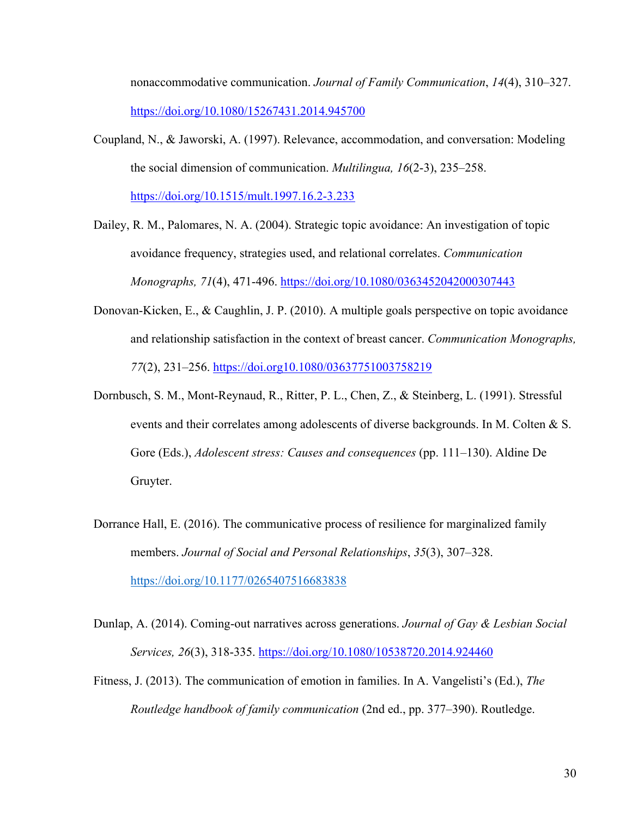nonaccommodative communication. *Journal of Family Communication*, *14*(4), 310–327. https://doi.org/10.1080/15267431.2014.945700

Coupland, N., & Jaworski, A. (1997). Relevance, accommodation, and conversation: Modeling the social dimension of communication. *Multilingua, 16*(2-3), 235–258. https://doi.org/10.1515/mult.1997.16.2-3.233

Dailey, R. M., Palomares, N. A. (2004). Strategic topic avoidance: An investigation of topic avoidance frequency, strategies used, and relational correlates. *Communication Monographs, 71*(4), 471-496. https://doi.org/10.1080/0363452042000307443

- Donovan-Kicken, E., & Caughlin, J. P. (2010). A multiple goals perspective on topic avoidance and relationship satisfaction in the context of breast cancer. *Communication Monographs, 77*(2), 231–256. https://doi.org10.1080/03637751003758219
- Dornbusch, S. M., Mont-Reynaud, R., Ritter, P. L., Chen, Z., & Steinberg, L. (1991). Stressful events and their correlates among adolescents of diverse backgrounds. In M. Colten & S. Gore (Eds.), *Adolescent stress: Causes and consequences* (pp. 111–130). Aldine De Gruyter.
- Dorrance Hall, E. (2016). The communicative process of resilience for marginalized family members. *Journal of Social and Personal Relationships*, *35*(3), 307–328. https://doi.org/10.1177/0265407516683838

Dunlap, A. (2014). Coming-out narratives across generations. *Journal of Gay & Lesbian Social Services, 26*(3), 318-335. https://doi.org/10.1080/10538720.2014.924460

Fitness, J. (2013). The communication of emotion in families. In A. Vangelisti's (Ed.), *The Routledge handbook of family communication* (2nd ed., pp. 377–390). Routledge.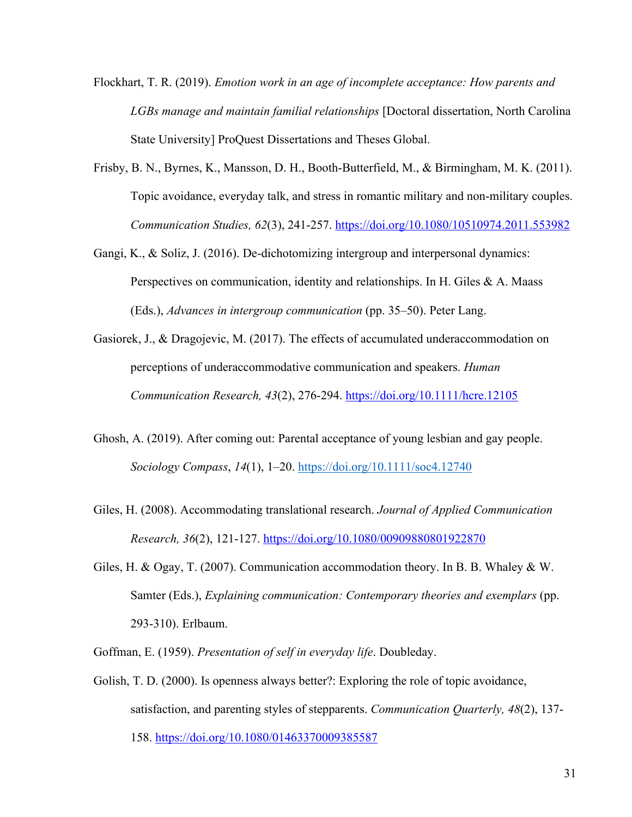- Flockhart, T. R. (2019). *Emotion work in an age of incomplete acceptance: How parents and LGBs manage and maintain familial relationships* [Doctoral dissertation, North Carolina State University] ProQuest Dissertations and Theses Global.
- Frisby, B. N., Byrnes, K., Mansson, D. H., Booth-Butterfield, M., & Birmingham, M. K. (2011). Topic avoidance, everyday talk, and stress in romantic military and non-military couples. *Communication Studies, 62*(3), 241-257. https://doi.org/10.1080/10510974.2011.553982
- Gangi, K., & Soliz, J. (2016). De-dichotomizing intergroup and interpersonal dynamics: Perspectives on communication, identity and relationships. In H. Giles & A. Maass (Eds.), *Advances in intergroup communication* (pp. 35–50). Peter Lang.
- Gasiorek, J., & Dragojevic, M. (2017). The effects of accumulated underaccommodation on perceptions of underaccommodative communication and speakers. *Human Communication Research, 43*(2), 276-294. https://doi.org/10.1111/hcre.12105
- Ghosh, A. (2019). After coming out: Parental acceptance of young lesbian and gay people. *Sociology Compass*, *14*(1), 1–20. https://doi.org/10.1111/soc4.12740
- Giles, H. (2008). Accommodating translational research. *Journal of Applied Communication Research, 36*(2), 121-127. https://doi.org/10.1080/00909880801922870
- Giles, H. & Ogay, T. (2007). Communication accommodation theory. In B. B. Whaley & W. Samter (Eds.), *Explaining communication: Contemporary theories and exemplars* (pp. 293-310). Erlbaum.
- Goffman, E. (1959). *Presentation of self in everyday life*. Doubleday.
- Golish, T. D. (2000). Is openness always better?: Exploring the role of topic avoidance, satisfaction, and parenting styles of stepparents. *Communication Quarterly, 48*(2), 137- 158. https://doi.org/10.1080/01463370009385587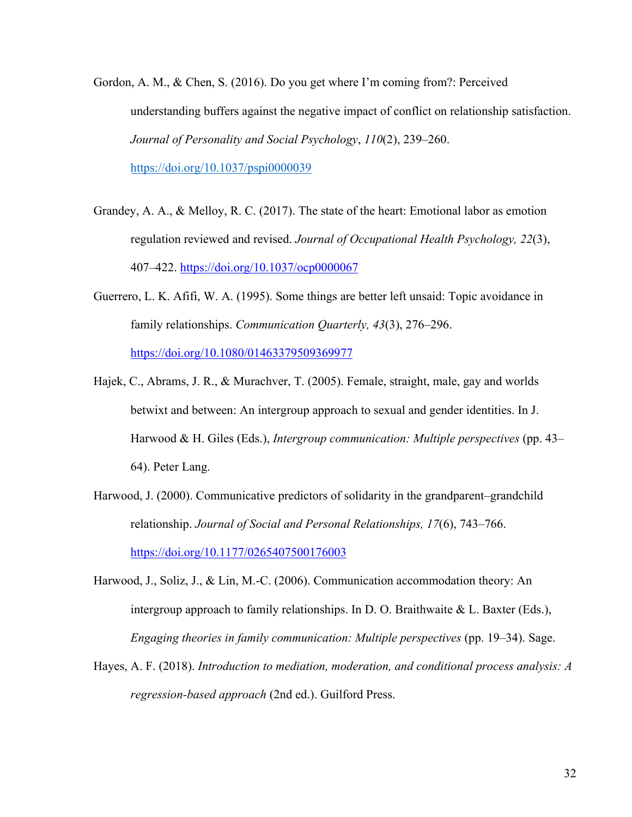- Gordon, A. M., & Chen, S. (2016). Do you get where I'm coming from?: Perceived understanding buffers against the negative impact of conflict on relationship satisfaction. *Journal of Personality and Social Psychology*, *110*(2), 239–260. https://doi.org/10.1037/pspi0000039
- Grandey, A. A., & Melloy, R. C. (2017). The state of the heart: Emotional labor as emotion regulation reviewed and revised. *Journal of Occupational Health Psychology, 22*(3), 407–422. https://doi.org/10.1037/ocp0000067
- Guerrero, L. K. Afifi, W. A. (1995). Some things are better left unsaid: Topic avoidance in family relationships. *Communication Quarterly, 43*(3), 276–296. https://doi.org/10.1080/01463379509369977
- Hajek, C., Abrams, J. R., & Murachver, T. (2005). Female, straight, male, gay and worlds betwixt and between: An intergroup approach to sexual and gender identities. In J. Harwood & H. Giles (Eds.), *Intergroup communication: Multiple perspectives* (pp. 43– 64). Peter Lang.
- Harwood, J. (2000). Communicative predictors of solidarity in the grandparent–grandchild relationship. *Journal of Social and Personal Relationships, 17*(6), 743–766. https://doi.org/10.1177/0265407500176003
- Harwood, J., Soliz, J., & Lin, M.-C. (2006). Communication accommodation theory: An intergroup approach to family relationships. In D. O. Braithwaite  $\&$  L. Baxter (Eds.), *Engaging theories in family communication: Multiple perspectives* (pp. 19–34). Sage.
- Hayes, A. F. (2018). *Introduction to mediation, moderation, and conditional process analysis: A regression-based approach* (2nd ed.). Guilford Press.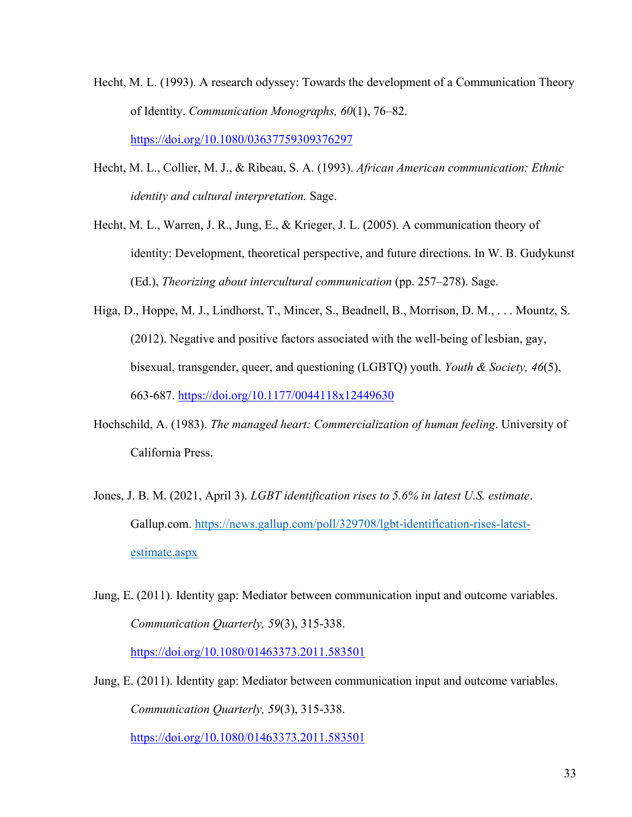- Hecht, M. L. (1993). A research odyssey: Towards the development of a Communication Theory of Identity. *Communication Monographs, 60*(1), 76–82. https://doi.org/10.1080/03637759309376297
- Hecht, M. L., Collier, M. J., & Ribeau, S. A. (1993). *African American communication: Ethnic identity and cultural interpretation.* Sage.
- Hecht, M. L., Warren, J. R., Jung, E., & Krieger, J. L. (2005). A communication theory of identity: Development, theoretical perspective, and future directions. In W. B. Gudykunst (Ed.), *Theorizing about intercultural communication* (pp. 257–278). Sage.
- Higa, D., Hoppe, M. J., Lindhorst, T., Mincer, S., Beadnell, B., Morrison, D. M., . . . Mountz, S. (2012). Negative and positive factors associated with the well-being of lesbian, gay, bisexual, transgender, queer, and questioning (LGBTQ) youth. *Youth & Society, 46*(5), 663-687. https://doi.org/10.1177/0044118x12449630
- Hochschild, A. (1983). *The managed heart: Commercialization of human feeling*. University of California Press.
- Jones, J. B. M. (2021, April 3). *LGBT identification rises to 5.6% in latest U.S. estimate*. Gallup.com. https://news.gallup.com/poll/329708/lgbt-identification-rises-latestestimate.aspx
- Jung, E. (2011). Identity gap: Mediator between communication input and outcome variables. *Communication Quarterly, 59*(3), 315-338. https://doi.org/10.1080/01463373.2011.583501
- Jung, E. (2011). Identity gap: Mediator between communication input and outcome variables. *Communication Quarterly, 59*(3), 315-338.

https://doi.org/10.1080/01463373.2011.583501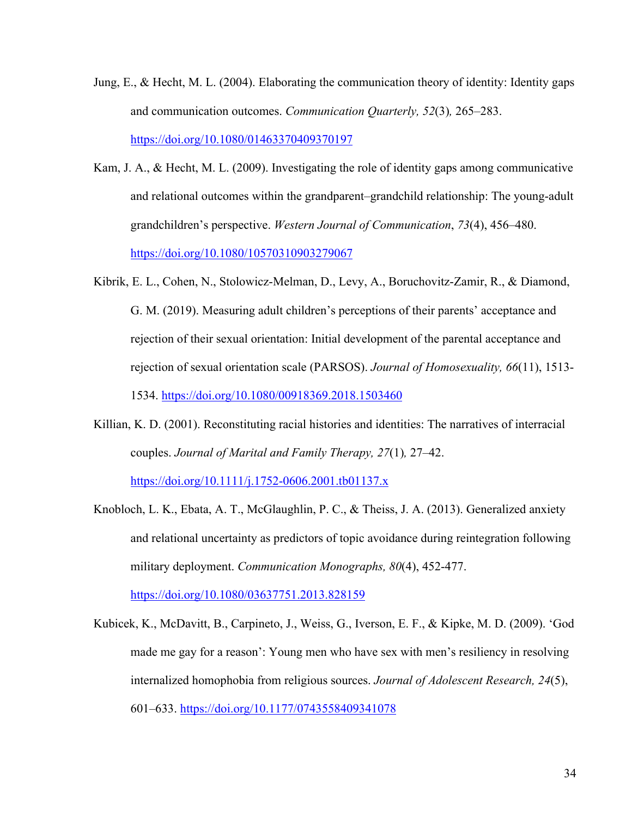- Jung, E., & Hecht, M. L. (2004). Elaborating the communication theory of identity: Identity gaps and communication outcomes. *Communication Quarterly, 52*(3)*,* 265–283. https://doi.org/10.1080/01463370409370197
- Kam, J. A., & Hecht, M. L. (2009). Investigating the role of identity gaps among communicative and relational outcomes within the grandparent–grandchild relationship: The young-adult grandchildren's perspective. *Western Journal of Communication*, *73*(4), 456–480. https://doi.org/10.1080/10570310903279067
- Kibrik, E. L., Cohen, N., Stolowicz-Melman, D., Levy, A., Boruchovitz-Zamir, R., & Diamond, G. M. (2019). Measuring adult children's perceptions of their parents' acceptance and rejection of their sexual orientation: Initial development of the parental acceptance and rejection of sexual orientation scale (PARSOS). *Journal of Homosexuality, 66*(11), 1513- 1534. https://doi.org/10.1080/00918369.2018.1503460
- Killian, K. D. (2001). Reconstituting racial histories and identities: The narratives of interracial couples. *Journal of Marital and Family Therapy, 27*(1)*,* 27–42.

https://doi.org/10.1111/j.1752-0606.2001.tb01137.x

Knobloch, L. K., Ebata, A. T., McGlaughlin, P. C., & Theiss, J. A. (2013). Generalized anxiety and relational uncertainty as predictors of topic avoidance during reintegration following military deployment. *Communication Monographs, 80*(4), 452-477.

https://doi.org/10.1080/03637751.2013.828159

Kubicek, K., McDavitt, B., Carpineto, J., Weiss, G., Iverson, E. F., & Kipke, M. D. (2009). 'God made me gay for a reason': Young men who have sex with men's resiliency in resolving internalized homophobia from religious sources. *Journal of Adolescent Research, 24*(5), 601–633. https://doi.org/10.1177/0743558409341078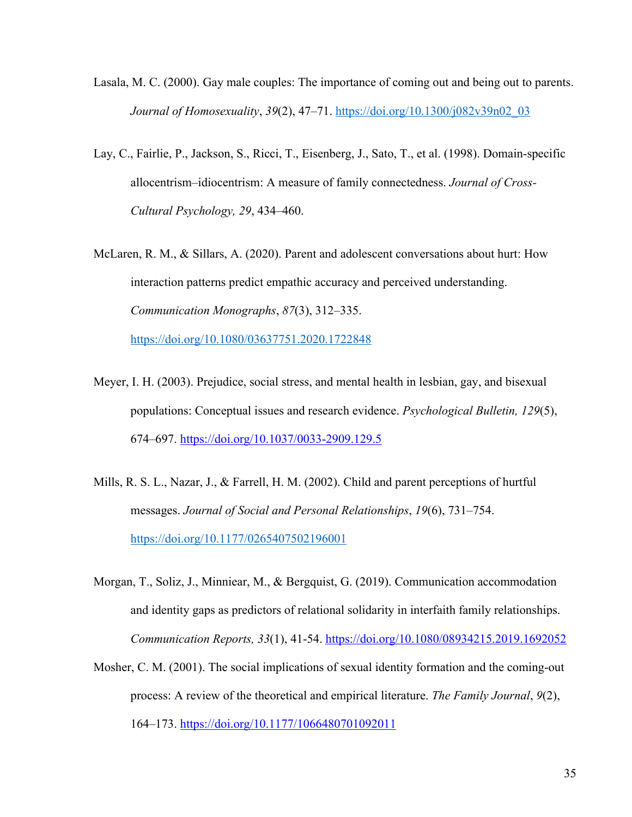- Lasala, M. C. (2000). Gay male couples: The importance of coming out and being out to parents. *Journal of Homosexuality*, *39*(2), 47–71. https://doi.org/10.1300/j082v39n02\_03
- Lay, C., Fairlie, P., Jackson, S., Ricci, T., Eisenberg, J., Sato, T., et al. (1998). Domain-specific allocentrism–idiocentrism: A measure of family connectedness. *Journal of Cross-Cultural Psychology, 29*, 434–460.
- McLaren, R. M., & Sillars, A. (2020). Parent and adolescent conversations about hurt: How interaction patterns predict empathic accuracy and perceived understanding. *Communication Monographs*, *87*(3), 312–335.

https://doi.org/10.1080/03637751.2020.1722848

- Meyer, I. H. (2003). Prejudice, social stress, and mental health in lesbian, gay, and bisexual populations: Conceptual issues and research evidence. *Psychological Bulletin, 129*(5), 674–697. https://doi.org/10.1037/0033-2909.129.5
- Mills, R. S. L., Nazar, J., & Farrell, H. M. (2002). Child and parent perceptions of hurtful messages. *Journal of Social and Personal Relationships*, *19*(6), 731–754. https://doi.org/10.1177/0265407502196001
- Morgan, T., Soliz, J., Minniear, M., & Bergquist, G. (2019). Communication accommodation and identity gaps as predictors of relational solidarity in interfaith family relationships. *Communication Reports, 33*(1), 41-54. https://doi.org/10.1080/08934215.2019.1692052
- Mosher, C. M. (2001). The social implications of sexual identity formation and the coming-out process: A review of the theoretical and empirical literature. *The Family Journal*, *9*(2), 164–173. https://doi.org/10.1177/1066480701092011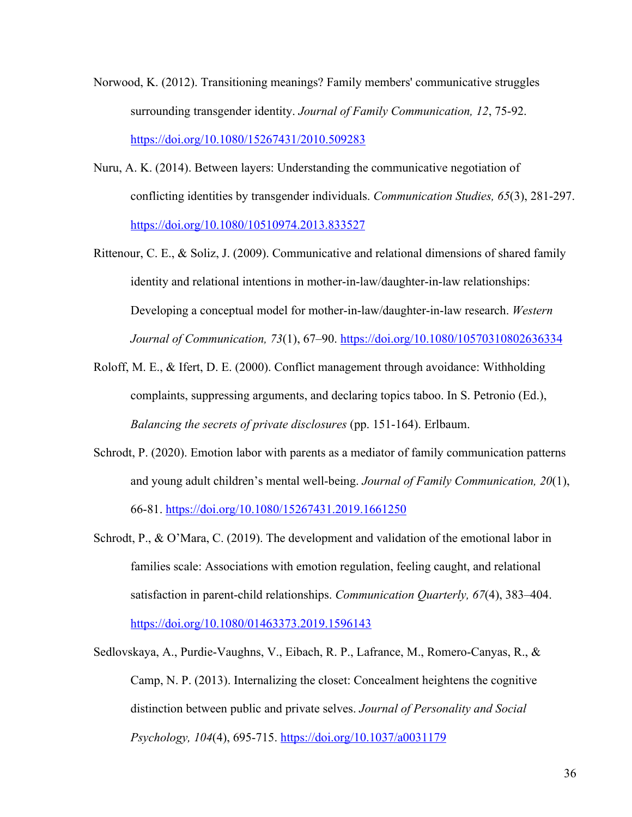- Norwood, K. (2012). Transitioning meanings? Family members' communicative struggles surrounding transgender identity. *Journal of Family Communication, 12*, 75-92. https://doi.org/10.1080/15267431/2010.509283
- Nuru, A. K. (2014). Between layers: Understanding the communicative negotiation of conflicting identities by transgender individuals. *Communication Studies, 65*(3), 281-297. https://doi.org/10.1080/10510974.2013.833527
- Rittenour, C. E., & Soliz, J. (2009). Communicative and relational dimensions of shared family identity and relational intentions in mother-in-law/daughter-in-law relationships: Developing a conceptual model for mother-in-law/daughter-in-law research. *Western Journal of Communication, 73*(1), 67–90. https://doi.org/10.1080/10570310802636334
- Roloff, M. E., & Ifert, D. E. (2000). Conflict management through avoidance: Withholding complaints, suppressing arguments, and declaring topics taboo. In S. Petronio (Ed.), *Balancing the secrets of private disclosures* (pp. 151-164). Erlbaum.
- Schrodt, P. (2020). Emotion labor with parents as a mediator of family communication patterns and young adult children's mental well-being. *Journal of Family Communication, 20*(1), 66-81. https://doi.org/10.1080/15267431.2019.1661250
- Schrodt, P., & O'Mara, C. (2019). The development and validation of the emotional labor in families scale: Associations with emotion regulation, feeling caught, and relational satisfaction in parent-child relationships. *Communication Quarterly, 67*(4), 383–404. https://doi.org/10.1080/01463373.2019.1596143
- Sedlovskaya, A., Purdie-Vaughns, V., Eibach, R. P., Lafrance, M., Romero-Canyas, R., & Camp, N. P. (2013). Internalizing the closet: Concealment heightens the cognitive distinction between public and private selves. *Journal of Personality and Social Psychology, 104*(4), 695-715. https://doi.org/10.1037/a0031179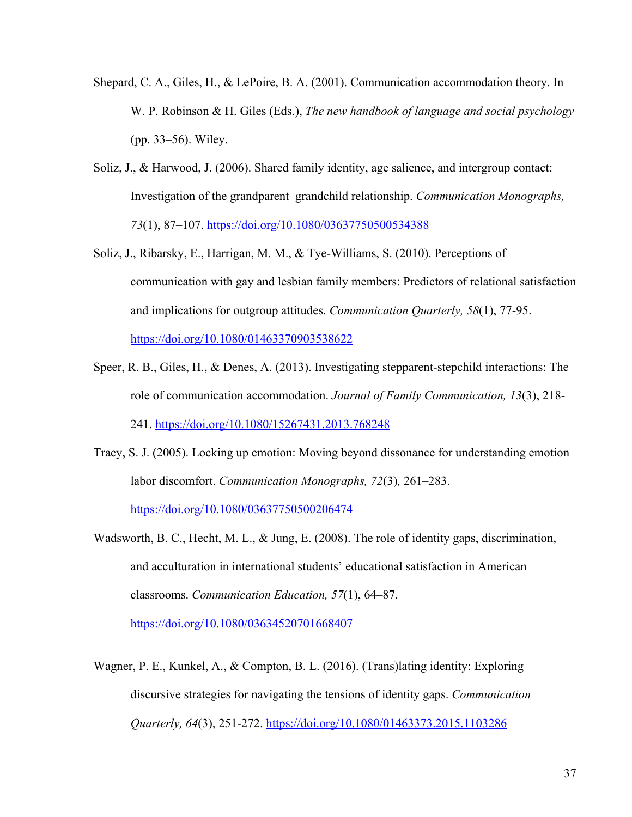- Shepard, C. A., Giles, H., & LePoire, B. A. (2001). Communication accommodation theory. In W. P. Robinson & H. Giles (Eds.), *The new handbook of language and social psychology* (pp. 33–56). Wiley.
- Soliz, J., & Harwood, J. (2006). Shared family identity, age salience, and intergroup contact: Investigation of the grandparent–grandchild relationship. *Communication Monographs, 73*(1), 87–107. https://doi.org/10.1080/03637750500534388
- Soliz, J., Ribarsky, E., Harrigan, M. M., & Tye-Williams, S. (2010). Perceptions of communication with gay and lesbian family members: Predictors of relational satisfaction and implications for outgroup attitudes. *Communication Quarterly, 58*(1), 77-95. https://doi.org/10.1080/01463370903538622
- Speer, R. B., Giles, H., & Denes, A. (2013). Investigating stepparent-stepchild interactions: The role of communication accommodation. *Journal of Family Communication, 13*(3), 218- 241. https://doi.org/10.1080/15267431.2013.768248
- Tracy, S. J. (2005). Locking up emotion: Moving beyond dissonance for understanding emotion labor discomfort. *Communication Monographs, 72*(3)*,* 261–283. https://doi.org/10.1080/03637750500206474
- Wadsworth, B. C., Hecht, M. L., & Jung, E. (2008). The role of identity gaps, discrimination, and acculturation in international students' educational satisfaction in American classrooms. *Communication Education, 57*(1), 64–87. https://doi.org/10.1080/03634520701668407
- Wagner, P. E., Kunkel, A., & Compton, B. L. (2016). (Trans)lating identity: Exploring discursive strategies for navigating the tensions of identity gaps. *Communication Quarterly, 64*(3), 251-272. https://doi.org/10.1080/01463373.2015.1103286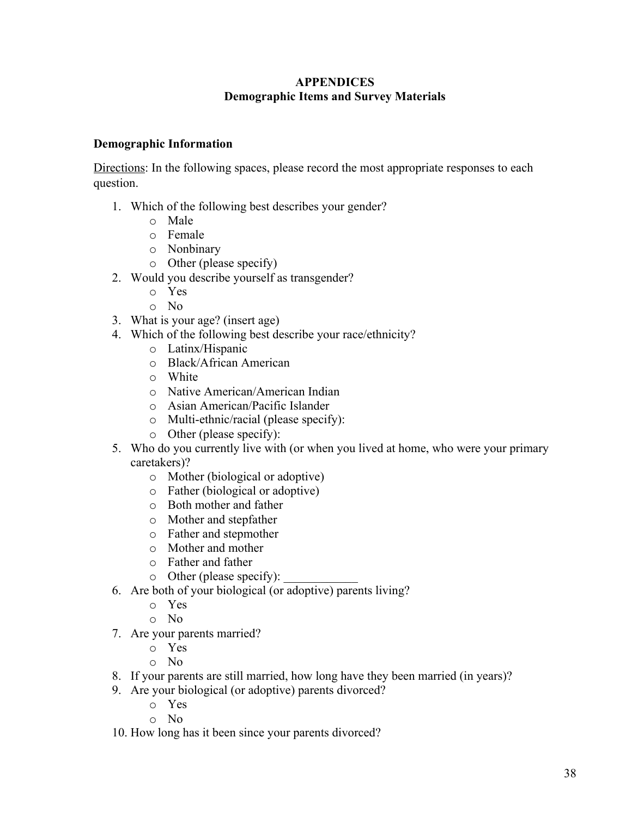### **APPENDICES Demographic Items and Survey Materials**

### **Demographic Information**

Directions: In the following spaces, please record the most appropriate responses to each question.

- 1. Which of the following best describes your gender?
	- o Male
	- o Female
	- o Nonbinary
	- o Other (please specify)
- 2. Would you describe yourself as transgender?
	- o Yes
	- o No
- 3. What is your age? (insert age)
- 4. Which of the following best describe your race/ethnicity?
	- o Latinx/Hispanic
	- o Black/African American
	- o White
	- o Native American/American Indian
	- o Asian American/Pacific Islander
	- o Multi-ethnic/racial (please specify):
	- o Other (please specify):
- 5. Who do you currently live with (or when you lived at home, who were your primary caretakers)?
	- o Mother (biological or adoptive)
	- o Father (biological or adoptive)
	- o Both mother and father
	- o Mother and stepfather
	- o Father and stepmother
	- o Mother and mother
	- o Father and father
	- $\circ$  Other (please specify):
- 6. Are both of your biological (or adoptive) parents living?
	- o Yes
	- o No
- 7. Are your parents married?
	- o Yes
	- o No
- 8. If your parents are still married, how long have they been married (in years)?
- 9. Are your biological (or adoptive) parents divorced?
	- o Yes
	- o No
- 10. How long has it been since your parents divorced?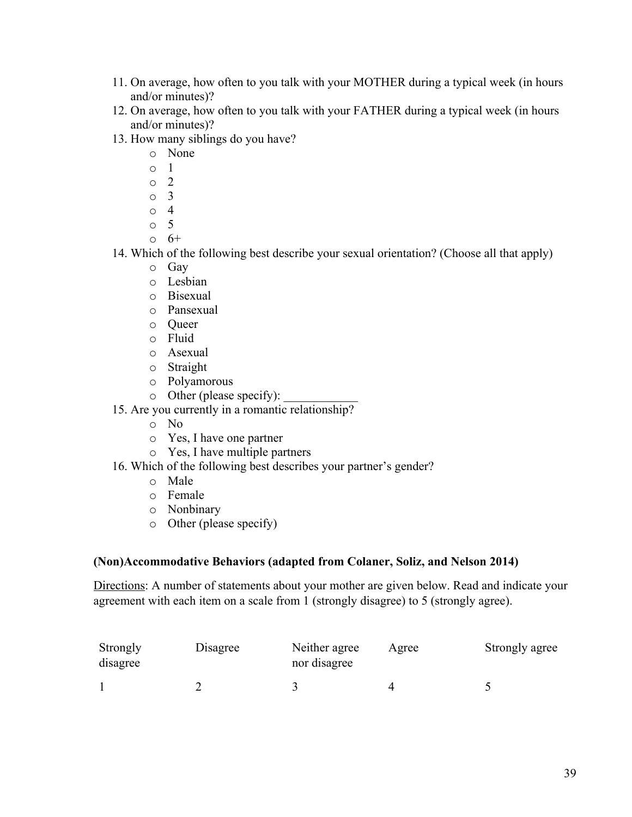- 11. On average, how often to you talk with your MOTHER during a typical week (in hours and/or minutes)?
- 12. On average, how often to you talk with your FATHER during a typical week (in hours and/or minutes)?
- 13. How many siblings do you have?
	- o None
	- o 1
	- o 2
	- o 3
	- o 4
	- o 5
	- $0 \t 6^+$
- 14. Which of the following best describe your sexual orientation? (Choose all that apply)
	- o Gay
	- o Lesbian
	- o Bisexual
	- o Pansexual
	- o Queer
	- o Fluid
	- o Asexual
	- o Straight
	- o Polyamorous
	- $\circ$  Other (please specify):
- 15. Are you currently in a romantic relationship?
	- o No
	- o Yes, I have one partner
	- o Yes, I have multiple partners
- 16. Which of the following best describes your partner's gender?
	- o Male
	- o Female
	- o Nonbinary
	- o Other (please specify)

### **(Non)Accommodative Behaviors (adapted from Colaner, Soliz, and Nelson 2014)**

Directions: A number of statements about your mother are given below. Read and indicate your agreement with each item on a scale from 1 (strongly disagree) to 5 (strongly agree).

| Strongly<br>disagree | Disagree | Neither agree<br>nor disagree | Agree | Strongly agree |
|----------------------|----------|-------------------------------|-------|----------------|
|                      |          |                               |       |                |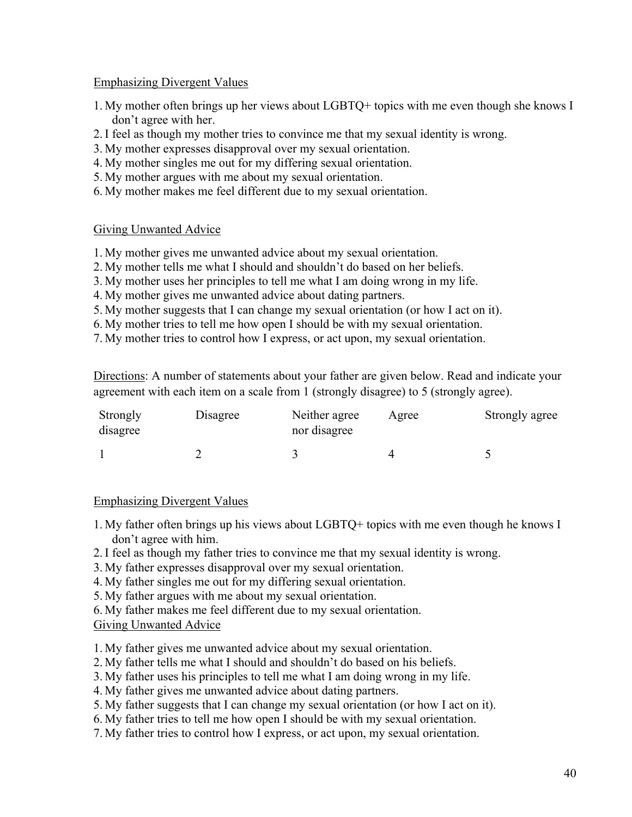### Emphasizing Divergent Values

- 1. My mother often brings up her views about LGBTQ+ topics with me even though she knows I don't agree with her.
- 2. I feel as though my mother tries to convince me that my sexual identity is wrong.
- 3. My mother expresses disapproval over my sexual orientation.
- 4. My mother singles me out for my differing sexual orientation.
- 5. My mother argues with me about my sexual orientation.
- 6. My mother makes me feel different due to my sexual orientation.

### Giving Unwanted Advice

- 1. My mother gives me unwanted advice about my sexual orientation.
- 2. My mother tells me what I should and shouldn't do based on her beliefs.
- 3. My mother uses her principles to tell me what I am doing wrong in my life.
- 4. My mother gives me unwanted advice about dating partners.
- 5. My mother suggests that I can change my sexual orientation (or how I act on it).
- 6. My mother tries to tell me how open I should be with my sexual orientation.
- 7. My mother tries to control how I express, or act upon, my sexual orientation.

Directions: A number of statements about your father are given below. Read and indicate your agreement with each item on a scale from 1 (strongly disagree) to 5 (strongly agree).

| Strongly<br>disagree | Disagree | Neither agree<br>nor disagree | Agree | Strongly agree |
|----------------------|----------|-------------------------------|-------|----------------|
|                      |          |                               |       |                |

### Emphasizing Divergent Values

- 1. My father often brings up his views about LGBTQ+ topics with me even though he knows I don't agree with him.
- 2. I feel as though my father tries to convince me that my sexual identity is wrong.
- 3. My father expresses disapproval over my sexual orientation.
- 4. My father singles me out for my differing sexual orientation.
- 5. My father argues with me about my sexual orientation.
- 6. My father makes me feel different due to my sexual orientation.

### Giving Unwanted Advice

- 1. My father gives me unwanted advice about my sexual orientation.
- 2. My father tells me what I should and shouldn't do based on his beliefs.
- 3. My father uses his principles to tell me what I am doing wrong in my life.
- 4. My father gives me unwanted advice about dating partners.
- 5. My father suggests that I can change my sexual orientation (or how I act on it).
- 6. My father tries to tell me how open I should be with my sexual orientation.
- 7. My father tries to control how I express, or act upon, my sexual orientation.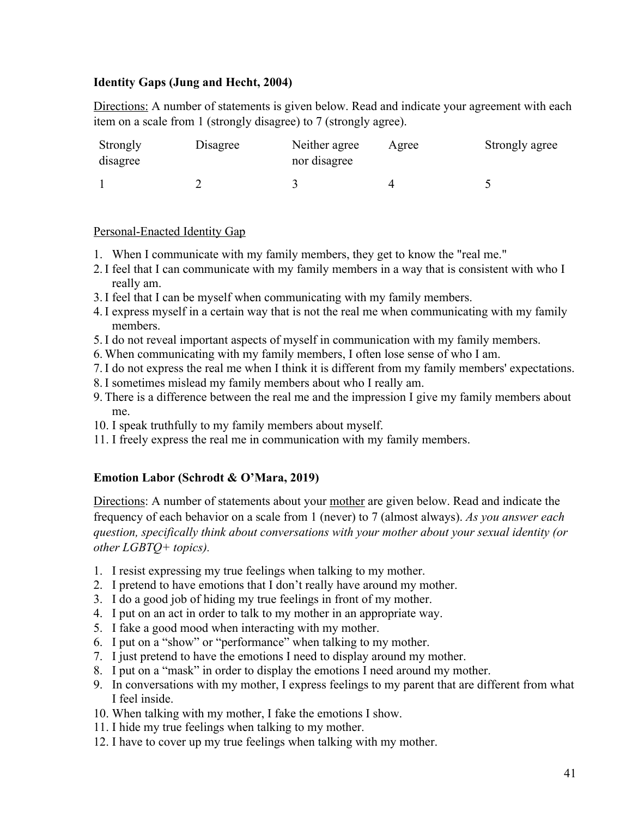### **Identity Gaps (Jung and Hecht, 2004)**

Directions: A number of statements is given below. Read and indicate your agreement with each item on a scale from 1 (strongly disagree) to 7 (strongly agree).

| Strongly<br>disagree | Disagree | Neither agree<br>nor disagree | Agree | Strongly agree |
|----------------------|----------|-------------------------------|-------|----------------|
|                      |          |                               |       |                |

### Personal-Enacted Identity Gap

- 1. When I communicate with my family members, they get to know the "real me."
- 2. I feel that I can communicate with my family members in a way that is consistent with who I really am.
- 3. I feel that I can be myself when communicating with my family members.
- 4. I express myself in a certain way that is not the real me when communicating with my family members.
- 5. I do not reveal important aspects of myself in communication with my family members.
- 6. When communicating with my family members, I often lose sense of who I am.
- 7. I do not express the real me when I think it is different from my family members' expectations.
- 8. I sometimes mislead my family members about who I really am.
- 9. There is a difference between the real me and the impression I give my family members about me.
- 10. I speak truthfully to my family members about myself.
- 11. I freely express the real me in communication with my family members.

### **Emotion Labor (Schrodt & O'Mara, 2019)**

Directions: A number of statements about your mother are given below. Read and indicate the frequency of each behavior on a scale from 1 (never) to 7 (almost always). *As you answer each question, specifically think about conversations with your mother about your sexual identity (or other LGBTQ+ topics).* 

- 1. I resist expressing my true feelings when talking to my mother.
- 2. I pretend to have emotions that I don't really have around my mother.
- 3. I do a good job of hiding my true feelings in front of my mother.
- 4. I put on an act in order to talk to my mother in an appropriate way.
- 5. I fake a good mood when interacting with my mother.
- 6. I put on a "show" or "performance" when talking to my mother.
- 7. I just pretend to have the emotions I need to display around my mother.
- 8. I put on a "mask" in order to display the emotions I need around my mother.
- 9. In conversations with my mother, I express feelings to my parent that are different from what I feel inside.
- 10. When talking with my mother, I fake the emotions I show.
- 11. I hide my true feelings when talking to my mother.
- 12. I have to cover up my true feelings when talking with my mother.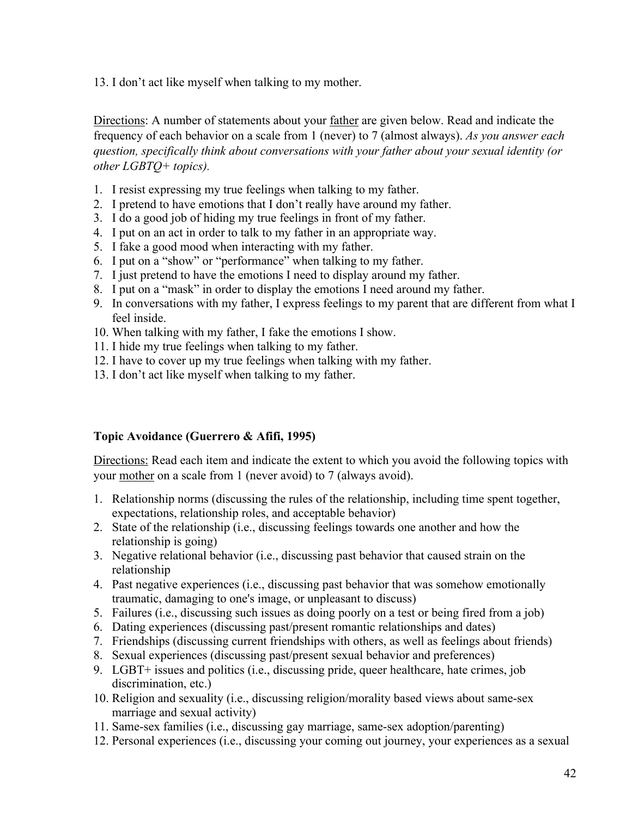13. I don't act like myself when talking to my mother.

Directions: A number of statements about your <u>father</u> are given below. Read and indicate the frequency of each behavior on a scale from 1 (never) to 7 (almost always). *As you answer each question, specifically think about conversations with your father about your sexual identity (or other LGBTQ+ topics).* 

- 1. I resist expressing my true feelings when talking to my father.
- 2. I pretend to have emotions that I don't really have around my father.
- 3. I do a good job of hiding my true feelings in front of my father.
- 4. I put on an act in order to talk to my father in an appropriate way.
- 5. I fake a good mood when interacting with my father.
- 6. I put on a "show" or "performance" when talking to my father.
- 7. I just pretend to have the emotions I need to display around my father.
- 8. I put on a "mask" in order to display the emotions I need around my father.
- 9. In conversations with my father, I express feelings to my parent that are different from what I feel inside.
- 10. When talking with my father, I fake the emotions I show.
- 11. I hide my true feelings when talking to my father.
- 12. I have to cover up my true feelings when talking with my father.
- 13. I don't act like myself when talking to my father.

### **Topic Avoidance (Guerrero & Afifi, 1995)**

Directions: Read each item and indicate the extent to which you avoid the following topics with your mother on a scale from 1 (never avoid) to 7 (always avoid).

- 1. Relationship norms (discussing the rules of the relationship, including time spent together, expectations, relationship roles, and acceptable behavior)
- 2. State of the relationship (i.e., discussing feelings towards one another and how the relationship is going)
- 3. Negative relational behavior (i.e., discussing past behavior that caused strain on the relationship
- 4. Past negative experiences (i.e., discussing past behavior that was somehow emotionally traumatic, damaging to one's image, or unpleasant to discuss)
- 5. Failures (i.e., discussing such issues as doing poorly on a test or being fired from a job)
- 6. Dating experiences (discussing past/present romantic relationships and dates)
- 7. Friendships (discussing current friendships with others, as well as feelings about friends)
- 8. Sexual experiences (discussing past/present sexual behavior and preferences)
- 9. LGBT+ issues and politics (i.e., discussing pride, queer healthcare, hate crimes, job discrimination, etc.)
- 10. Religion and sexuality (i.e., discussing religion/morality based views about same-sex marriage and sexual activity)
- 11. Same-sex families (i.e., discussing gay marriage, same-sex adoption/parenting)
- 12. Personal experiences (i.e., discussing your coming out journey, your experiences as a sexual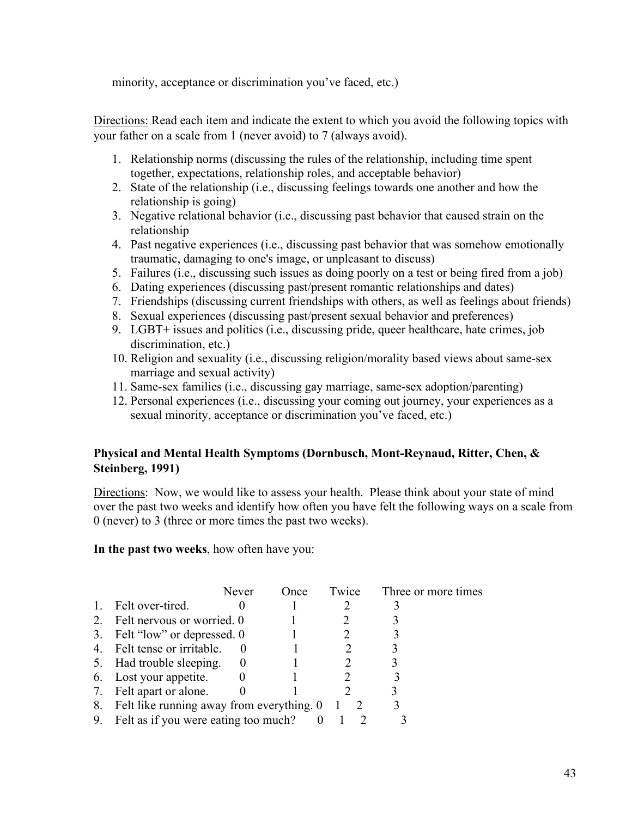minority, acceptance or discrimination you've faced, etc.)

Directions: Read each item and indicate the extent to which you avoid the following topics with your father on a scale from 1 (never avoid) to 7 (always avoid).

- 1. Relationship norms (discussing the rules of the relationship, including time spent together, expectations, relationship roles, and acceptable behavior)
- 2. State of the relationship (i.e., discussing feelings towards one another and how the relationship is going)
- 3. Negative relational behavior (i.e., discussing past behavior that caused strain on the relationship
- 4. Past negative experiences (i.e., discussing past behavior that was somehow emotionally traumatic, damaging to one's image, or unpleasant to discuss)
- 5. Failures (i.e., discussing such issues as doing poorly on a test or being fired from a job)
- 6. Dating experiences (discussing past/present romantic relationships and dates)
- 7. Friendships (discussing current friendships with others, as well as feelings about friends)
- 8. Sexual experiences (discussing past/present sexual behavior and preferences)
- 9. LGBT+ issues and politics (i.e., discussing pride, queer healthcare, hate crimes, job discrimination, etc.)
- 10. Religion and sexuality (i.e., discussing religion/morality based views about same-sex marriage and sexual activity)
- 11. Same-sex families (i.e., discussing gay marriage, same-sex adoption/parenting)
- 12. Personal experiences (i.e., discussing your coming out journey, your experiences as a sexual minority, acceptance or discrimination you've faced, etc.)

### **Physical and Mental Health Symptoms (Dornbusch, Mont-Reynaud, Ritter, Chen, & Steinberg, 1991)**

Directions: Now, we would like to assess your health. Please think about your state of mind over the past two weeks and identify how often you have felt the following ways on a scale from 0 (never) to 3 (three or more times the past two weeks).

**In the past two weeks**, how often have you:

|    |                                           | Never    | Once | Twice | Three or more times |
|----|-------------------------------------------|----------|------|-------|---------------------|
| 1. | Felt over-tired.                          |          |      |       |                     |
| 2. | Felt nervous or worried. 0                |          |      |       |                     |
|    | 3. Felt "low" or depressed. 0             |          |      |       |                     |
| 4. | Felt tense or irritable.                  |          |      |       |                     |
|    | 5. Had trouble sleeping.                  | $\theta$ |      |       |                     |
|    | 6. Lost your appetite.                    |          |      |       |                     |
|    | 7. Felt apart or alone.                   |          |      |       |                     |
| 8. | Felt like running away from everything. 0 |          |      |       |                     |
| 9. | Felt as if you were eating too much?      |          |      |       |                     |